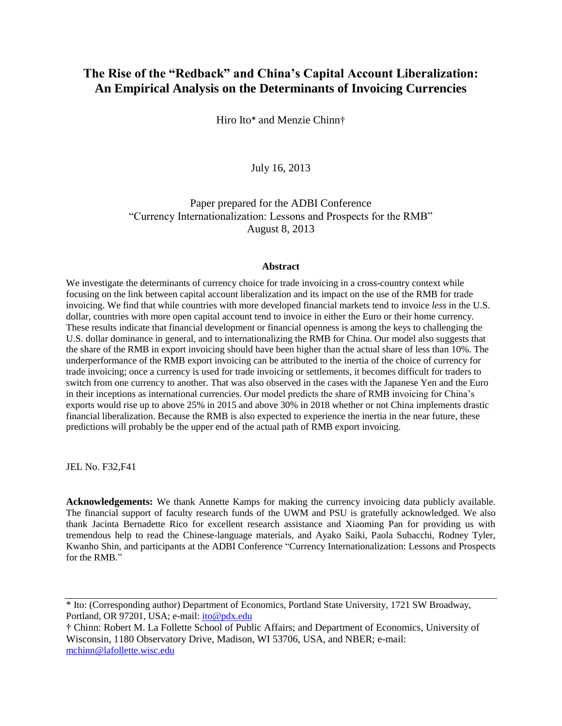# **The Rise of the "Redback" and China's Capital Account Liberalization: An Empirical Analysis on the Determinants of Invoicing Currencies**

Hiro Ito\* and Menzie Chinn†

# July 16, 2013

Paper prepared for the ADBI Conference "Currency Internationalization: Lessons and Prospects for the RMB" August 8, 2013

#### **Abstract**

We investigate the determinants of currency choice for trade invoicing in a cross-country context while focusing on the link between capital account liberalization and its impact on the use of the RMB for trade invoicing. We find that while countries with more developed financial markets tend to invoice *less* in the U.S. dollar, countries with more open capital account tend to invoice in either the Euro or their home currency. These results indicate that financial development or financial openness is among the keys to challenging the U.S. dollar dominance in general, and to internationalizing the RMB for China. Our model also suggests that the share of the RMB in export invoicing should have been higher than the actual share of less than 10%. The underperformance of the RMB export invoicing can be attributed to the inertia of the choice of currency for trade invoicing; once a currency is used for trade invoicing or settlements, it becomes difficult for traders to switch from one currency to another. That was also observed in the cases with the Japanese Yen and the Euro in their inceptions as international currencies. Our model predicts the share of RMB invoicing for China's exports would rise up to above 25% in 2015 and above 30% in 2018 whether or not China implements drastic financial liberalization. Because the RMB is also expected to experience the inertia in the near future, these predictions will probably be the upper end of the actual path of RMB export invoicing.

JEL No. F32,F41

**Acknowledgements:** We thank Annette Kamps for making the currency invoicing data publicly available. The financial support of faculty research funds of the UWM and PSU is gratefully acknowledged. We also thank Jacinta Bernadette Rico for excellent research assistance and Xiaoming Pan for providing us with tremendous help to read the Chinese-language materials, and Ayako Saiki, Paola Subacchi, Rodney Tyler, Kwanho Shin, and participants at the ADBI Conference "Currency Internationalization: Lessons and Prospects for the RMB<sup>"</sup>

<sup>\*</sup> Ito: (Corresponding author) Department of Economics, Portland State University, 1721 SW Broadway, Portland, OR 97201, USA; e-mail: [ito@pdx.edu](mailto:ito@pdx.edu)

<sup>†</sup> Chinn: Robert M. La Follette School of Public Affairs; and Department of Economics, University of Wisconsin, 1180 Observatory Drive, Madison, WI 53706, USA, and NBER; e-mail: [mchinn@lafollette.wisc.edu](mailto:mchinn@lafollette.wisc.edu)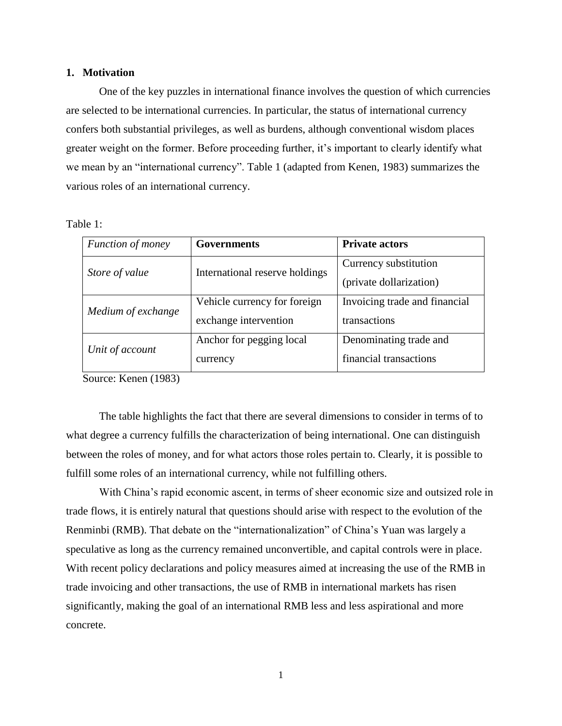#### **1. Motivation**

One of the key puzzles in international finance involves the question of which currencies are selected to be international currencies. In particular, the status of international currency confers both substantial privileges, as well as burdens, although conventional wisdom places greater weight on the former. Before proceeding further, it's important to clearly identify what we mean by an "international currency". Table 1 (adapted from Kenen, 1983) summarizes the various roles of an international currency.

Table 1:

| Function of money  | <b>Governments</b>             | <b>Private actors</b>         |  |
|--------------------|--------------------------------|-------------------------------|--|
| Store of value     | International reserve holdings | Currency substitution         |  |
|                    |                                | (private dollarization)       |  |
| Medium of exchange | Vehicle currency for foreign   | Invoicing trade and financial |  |
|                    | exchange intervention          | transactions                  |  |
| Unit of account    | Anchor for pegging local       | Denominating trade and        |  |
|                    | currency                       | financial transactions        |  |

Source: Kenen (1983)

The table highlights the fact that there are several dimensions to consider in terms of to what degree a currency fulfills the characterization of being international. One can distinguish between the roles of money, and for what actors those roles pertain to. Clearly, it is possible to fulfill some roles of an international currency, while not fulfilling others.

With China's rapid economic ascent, in terms of sheer economic size and outsized role in trade flows, it is entirely natural that questions should arise with respect to the evolution of the Renminbi (RMB). That debate on the "internationalization" of China's Yuan was largely a speculative as long as the currency remained unconvertible, and capital controls were in place. With recent policy declarations and policy measures aimed at increasing the use of the RMB in trade invoicing and other transactions, the use of RMB in international markets has risen significantly, making the goal of an international RMB less and less aspirational and more concrete.

1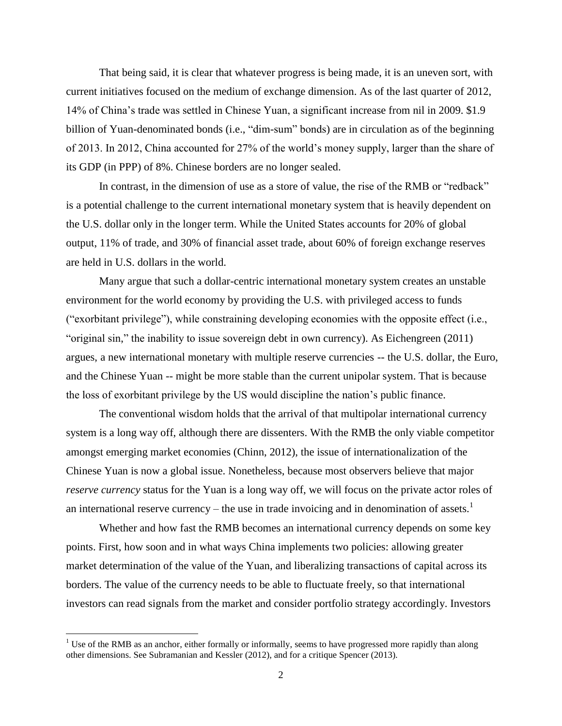That being said, it is clear that whatever progress is being made, it is an uneven sort, with current initiatives focused on the medium of exchange dimension. As of the last quarter of 2012, 14% of China's trade was settled in Chinese Yuan, a significant increase from nil in 2009. \$1.9 billion of Yuan-denominated bonds (i.e., "dim-sum" bonds) are in circulation as of the beginning of 2013. In 2012, China accounted for 27% of the world's money supply, larger than the share of its GDP (in PPP) of 8%. Chinese borders are no longer sealed.

In contrast, in the dimension of use as a store of value, the rise of the RMB or "redback" is a potential challenge to the current international monetary system that is heavily dependent on the U.S. dollar only in the longer term. While the United States accounts for 20% of global output, 11% of trade, and 30% of financial asset trade, about 60% of foreign exchange reserves are held in U.S. dollars in the world.

Many argue that such a dollar-centric international monetary system creates an unstable environment for the world economy by providing the U.S. with privileged access to funds ("exorbitant privilege"), while constraining developing economies with the opposite effect (i.e., "original sin," the inability to issue sovereign debt in own currency). As Eichengreen (2011) argues, a new international monetary with multiple reserve currencies -- the U.S. dollar, the Euro, and the Chinese Yuan -- might be more stable than the current unipolar system. That is because the loss of exorbitant privilege by the US would discipline the nation's public finance.

The conventional wisdom holds that the arrival of that multipolar international currency system is a long way off, although there are dissenters. With the RMB the only viable competitor amongst emerging market economies (Chinn, 2012), the issue of internationalization of the Chinese Yuan is now a global issue. Nonetheless, because most observers believe that major *reserve currency* status for the Yuan is a long way off, we will focus on the private actor roles of an international reserve currency – the use in trade invoicing and in denomination of assets.<sup>1</sup>

Whether and how fast the RMB becomes an international currency depends on some key points. First, how soon and in what ways China implements two policies: allowing greater market determination of the value of the Yuan, and liberalizing transactions of capital across its borders. The value of the currency needs to be able to fluctuate freely, so that international investors can read signals from the market and consider portfolio strategy accordingly. Investors

<sup>&</sup>lt;sup>1</sup> Use of the RMB as an anchor, either formally or informally, seems to have progressed more rapidly than along other dimensions. See Subramanian and Kessler (2012), and for a critique Spencer (2013).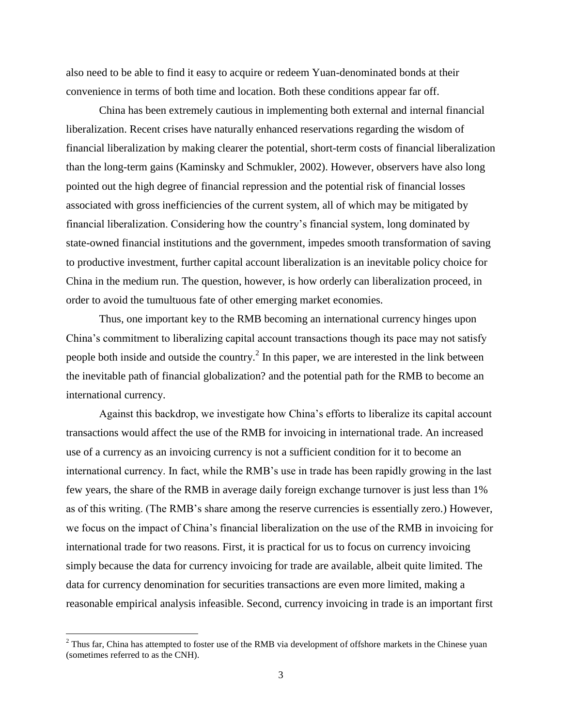also need to be able to find it easy to acquire or redeem Yuan-denominated bonds at their convenience in terms of both time and location. Both these conditions appear far off.

China has been extremely cautious in implementing both external and internal financial liberalization. Recent crises have naturally enhanced reservations regarding the wisdom of financial liberalization by making clearer the potential, short-term costs of financial liberalization than the long-term gains (Kaminsky and Schmukler, 2002). However, observers have also long pointed out the high degree of financial repression and the potential risk of financial losses associated with gross inefficiencies of the current system, all of which may be mitigated by financial liberalization. Considering how the country's financial system, long dominated by state-owned financial institutions and the government, impedes smooth transformation of saving to productive investment, further capital account liberalization is an inevitable policy choice for China in the medium run. The question, however, is how orderly can liberalization proceed, in order to avoid the tumultuous fate of other emerging market economies.

Thus, one important key to the RMB becoming an international currency hinges upon China's commitment to liberalizing capital account transactions though its pace may not satisfy people both inside and outside the country.<sup>2</sup> In this paper, we are interested in the link between the inevitable path of financial globalization? and the potential path for the RMB to become an international currency.

Against this backdrop, we investigate how China's efforts to liberalize its capital account transactions would affect the use of the RMB for invoicing in international trade. An increased use of a currency as an invoicing currency is not a sufficient condition for it to become an international currency. In fact, while the RMB's use in trade has been rapidly growing in the last few years, the share of the RMB in average daily foreign exchange turnover is just less than 1% as of this writing. (The RMB's share among the reserve currencies is essentially zero.) However, we focus on the impact of China's financial liberalization on the use of the RMB in invoicing for international trade for two reasons. First, it is practical for us to focus on currency invoicing simply because the data for currency invoicing for trade are available, albeit quite limited. The data for currency denomination for securities transactions are even more limited, making a reasonable empirical analysis infeasible. Second, currency invoicing in trade is an important first

 $2^2$  Thus far, China has attempted to foster use of the RMB via development of offshore markets in the Chinese yuan (sometimes referred to as the CNH).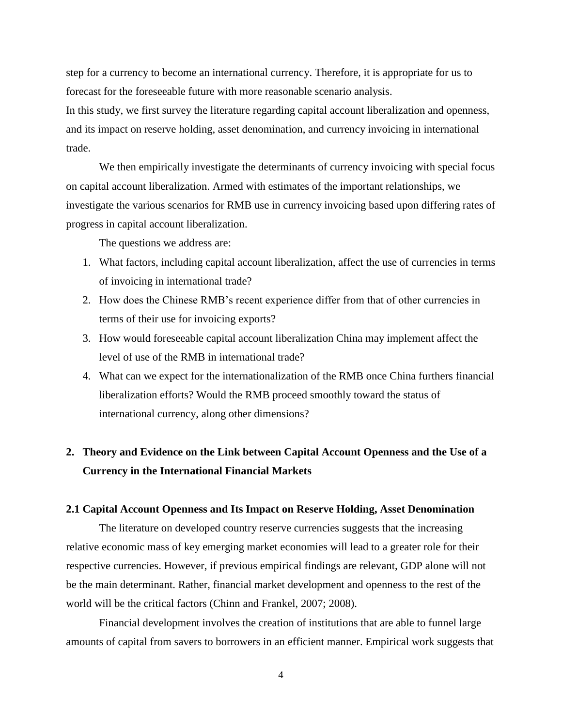step for a currency to become an international currency. Therefore, it is appropriate for us to forecast for the foreseeable future with more reasonable scenario analysis.

In this study, we first survey the literature regarding capital account liberalization and openness, and its impact on reserve holding, asset denomination, and currency invoicing in international trade.

We then empirically investigate the determinants of currency invoicing with special focus on capital account liberalization. Armed with estimates of the important relationships, we investigate the various scenarios for RMB use in currency invoicing based upon differing rates of progress in capital account liberalization.

The questions we address are:

- 1. What factors, including capital account liberalization, affect the use of currencies in terms of invoicing in international trade?
- 2. How does the Chinese RMB's recent experience differ from that of other currencies in terms of their use for invoicing exports?
- 3. How would foreseeable capital account liberalization China may implement affect the level of use of the RMB in international trade?
- 4. What can we expect for the internationalization of the RMB once China furthers financial liberalization efforts? Would the RMB proceed smoothly toward the status of international currency, along other dimensions?

# **2. Theory and Evidence on the Link between Capital Account Openness and the Use of a Currency in the International Financial Markets**

# **2.1 Capital Account Openness and Its Impact on Reserve Holding, Asset Denomination**

The literature on developed country reserve currencies suggests that the increasing relative economic mass of key emerging market economies will lead to a greater role for their respective currencies. However, if previous empirical findings are relevant, GDP alone will not be the main determinant. Rather, financial market development and openness to the rest of the world will be the critical factors (Chinn and Frankel, 2007; 2008).

Financial development involves the creation of institutions that are able to funnel large amounts of capital from savers to borrowers in an efficient manner. Empirical work suggests that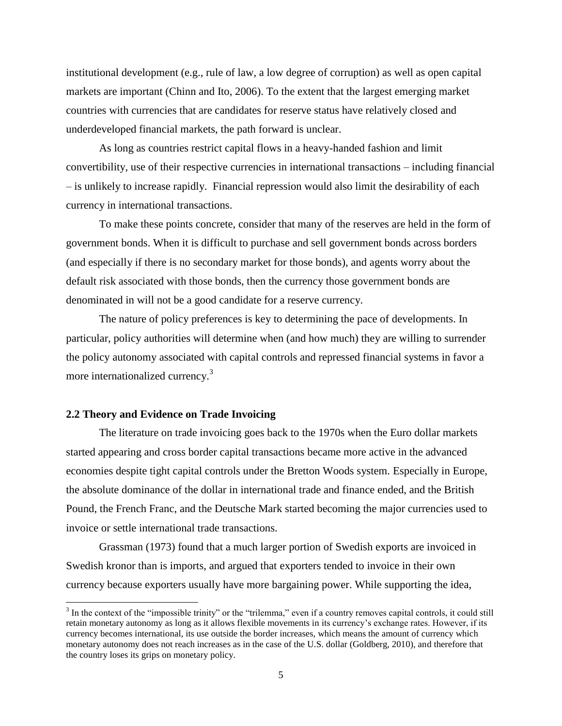institutional development (e.g., rule of law, a low degree of corruption) as well as open capital markets are important (Chinn and Ito, 2006). To the extent that the largest emerging market countries with currencies that are candidates for reserve status have relatively closed and underdeveloped financial markets, the path forward is unclear.

As long as countries restrict capital flows in a heavy-handed fashion and limit convertibility, use of their respective currencies in international transactions – including financial – is unlikely to increase rapidly. Financial repression would also limit the desirability of each currency in international transactions.

To make these points concrete, consider that many of the reserves are held in the form of government bonds. When it is difficult to purchase and sell government bonds across borders (and especially if there is no secondary market for those bonds), and agents worry about the default risk associated with those bonds, then the currency those government bonds are denominated in will not be a good candidate for a reserve currency.

The nature of policy preferences is key to determining the pace of developments. In particular, policy authorities will determine when (and how much) they are willing to surrender the policy autonomy associated with capital controls and repressed financial systems in favor a more internationalized currency.<sup>3</sup>

# **2.2 Theory and Evidence on Trade Invoicing**

 $\overline{a}$ 

The literature on trade invoicing goes back to the 1970s when the Euro dollar markets started appearing and cross border capital transactions became more active in the advanced economies despite tight capital controls under the Bretton Woods system. Especially in Europe, the absolute dominance of the dollar in international trade and finance ended, and the British Pound, the French Franc, and the Deutsche Mark started becoming the major currencies used to invoice or settle international trade transactions.

Grassman (1973) found that a much larger portion of Swedish exports are invoiced in Swedish kronor than is imports, and argued that exporters tended to invoice in their own currency because exporters usually have more bargaining power. While supporting the idea,

 $3$  In the context of the "impossible trinity" or the "trilemma," even if a country removes capital controls, it could still retain monetary autonomy as long as it allows flexible movements in its currency's exchange rates. However, if its currency becomes international, its use outside the border increases, which means the amount of currency which monetary autonomy does not reach increases as in the case of the U.S. dollar (Goldberg, 2010), and therefore that the country loses its grips on monetary policy.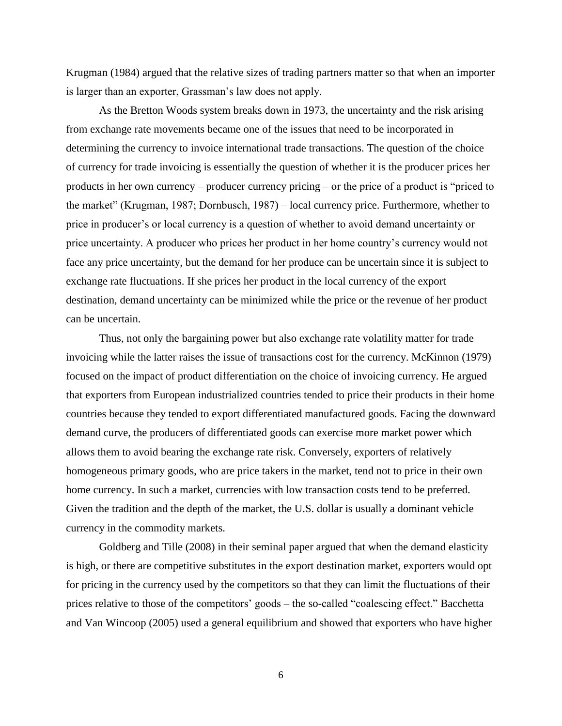Krugman (1984) argued that the relative sizes of trading partners matter so that when an importer is larger than an exporter, Grassman's law does not apply.

As the Bretton Woods system breaks down in 1973, the uncertainty and the risk arising from exchange rate movements became one of the issues that need to be incorporated in determining the currency to invoice international trade transactions. The question of the choice of currency for trade invoicing is essentially the question of whether it is the producer prices her products in her own currency – producer currency pricing – or the price of a product is "priced to the market" (Krugman, 1987; Dornbusch, 1987) – local currency price. Furthermore, whether to price in producer's or local currency is a question of whether to avoid demand uncertainty or price uncertainty. A producer who prices her product in her home country's currency would not face any price uncertainty, but the demand for her produce can be uncertain since it is subject to exchange rate fluctuations. If she prices her product in the local currency of the export destination, demand uncertainty can be minimized while the price or the revenue of her product can be uncertain.

Thus, not only the bargaining power but also exchange rate volatility matter for trade invoicing while the latter raises the issue of transactions cost for the currency. McKinnon (1979) focused on the impact of product differentiation on the choice of invoicing currency. He argued that exporters from European industrialized countries tended to price their products in their home countries because they tended to export differentiated manufactured goods. Facing the downward demand curve, the producers of differentiated goods can exercise more market power which allows them to avoid bearing the exchange rate risk. Conversely, exporters of relatively homogeneous primary goods, who are price takers in the market, tend not to price in their own home currency. In such a market, currencies with low transaction costs tend to be preferred. Given the tradition and the depth of the market, the U.S. dollar is usually a dominant vehicle currency in the commodity markets.

Goldberg and Tille (2008) in their seminal paper argued that when the demand elasticity is high, or there are competitive substitutes in the export destination market, exporters would opt for pricing in the currency used by the competitors so that they can limit the fluctuations of their prices relative to those of the competitors' goods – the so-called "coalescing effect." Bacchetta and Van Wincoop (2005) used a general equilibrium and showed that exporters who have higher

6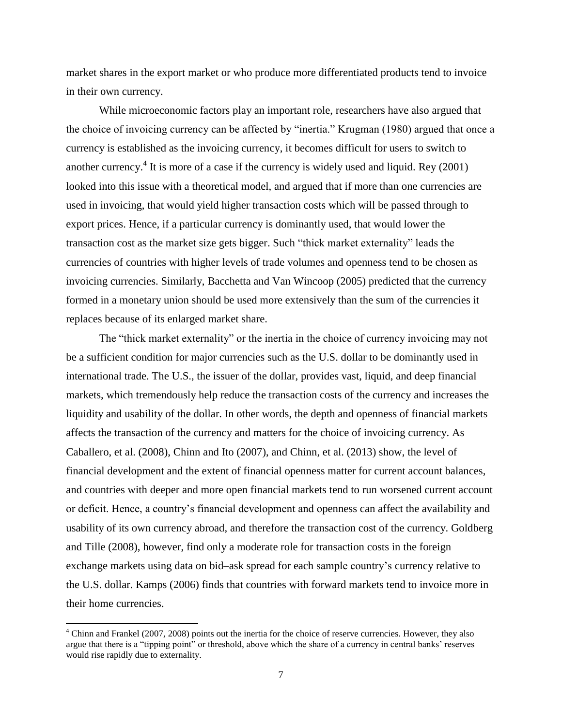market shares in the export market or who produce more differentiated products tend to invoice in their own currency.

While microeconomic factors play an important role, researchers have also argued that the choice of invoicing currency can be affected by "inertia." Krugman (1980) argued that once a currency is established as the invoicing currency, it becomes difficult for users to switch to another currency.<sup>4</sup> It is more of a case if the currency is widely used and liquid. Rey  $(2001)$ looked into this issue with a theoretical model, and argued that if more than one currencies are used in invoicing, that would yield higher transaction costs which will be passed through to export prices. Hence, if a particular currency is dominantly used, that would lower the transaction cost as the market size gets bigger. Such "thick market externality" leads the currencies of countries with higher levels of trade volumes and openness tend to be chosen as invoicing currencies. Similarly, Bacchetta and Van Wincoop (2005) predicted that the currency formed in a monetary union should be used more extensively than the sum of the currencies it replaces because of its enlarged market share.

The "thick market externality" or the inertia in the choice of currency invoicing may not be a sufficient condition for major currencies such as the U.S. dollar to be dominantly used in international trade. The U.S., the issuer of the dollar, provides vast, liquid, and deep financial markets, which tremendously help reduce the transaction costs of the currency and increases the liquidity and usability of the dollar. In other words, the depth and openness of financial markets affects the transaction of the currency and matters for the choice of invoicing currency. As Caballero, et al. (2008), Chinn and Ito (2007), and Chinn, et al. (2013) show, the level of financial development and the extent of financial openness matter for current account balances, and countries with deeper and more open financial markets tend to run worsened current account or deficit. Hence, a country's financial development and openness can affect the availability and usability of its own currency abroad, and therefore the transaction cost of the currency. Goldberg and Tille (2008), however, find only a moderate role for transaction costs in the foreign exchange markets using data on bid–ask spread for each sample country's currency relative to the U.S. dollar. Kamps (2006) finds that countries with forward markets tend to invoice more in their home currencies.

 $<sup>4</sup>$  Chinn and Frankel (2007, 2008) points out the inertia for the choice of reserve currencies. However, they also</sup> argue that there is a "tipping point" or threshold, above which the share of a currency in central banks' reserves would rise rapidly due to externality.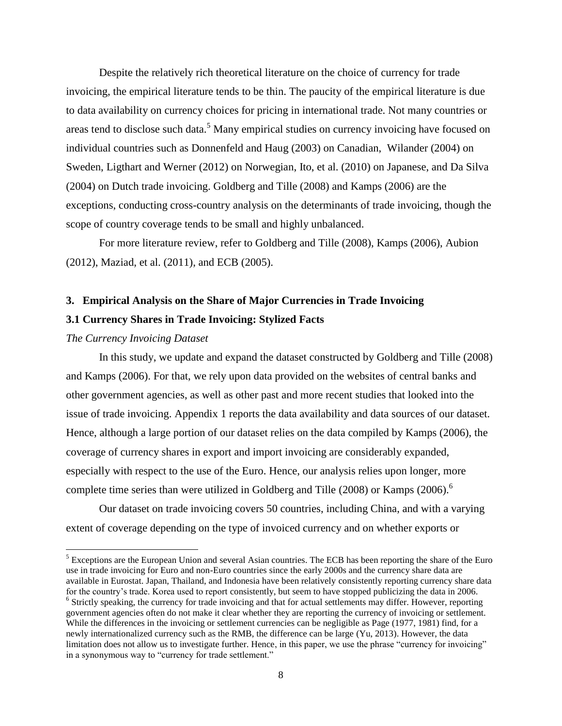Despite the relatively rich theoretical literature on the choice of currency for trade invoicing, the empirical literature tends to be thin. The paucity of the empirical literature is due to data availability on currency choices for pricing in international trade. Not many countries or areas tend to disclose such data.<sup>5</sup> Many empirical studies on currency invoicing have focused on individual countries such as Donnenfeld and Haug (2003) on Canadian, Wilander (2004) on Sweden, Ligthart and Werner (2012) on Norwegian, Ito, et al. (2010) on Japanese, and Da Silva (2004) on Dutch trade invoicing. Goldberg and Tille (2008) and Kamps (2006) are the exceptions, conducting cross-country analysis on the determinants of trade invoicing, though the scope of country coverage tends to be small and highly unbalanced.

For more literature review, refer to Goldberg and Tille (2008), Kamps (2006), Aubion (2012), Maziad, et al. (2011), and ECB (2005).

# **3. Empirical Analysis on the Share of Major Currencies in Trade Invoicing 3.1 Currency Shares in Trade Invoicing: Stylized Facts**

## *The Currency Invoicing Dataset*

 $\overline{\phantom{a}}$ 

In this study, we update and expand the dataset constructed by Goldberg and Tille (2008) and Kamps (2006). For that, we rely upon data provided on the websites of central banks and other government agencies, as well as other past and more recent studies that looked into the issue of trade invoicing. Appendix 1 reports the data availability and data sources of our dataset. Hence, although a large portion of our dataset relies on the data compiled by Kamps (2006), the coverage of currency shares in export and import invoicing are considerably expanded, especially with respect to the use of the Euro. Hence, our analysis relies upon longer, more complete time series than were utilized in Goldberg and Tille (2008) or Kamps (2006). 6

Our dataset on trade invoicing covers 50 countries, including China, and with a varying extent of coverage depending on the type of invoiced currency and on whether exports or

<sup>&</sup>lt;sup>5</sup> Exceptions are the European Union and several Asian countries. The ECB has been reporting the share of the Euro use in trade invoicing for Euro and non-Euro countries since the early 2000s and the currency share data are available in Eurostat. Japan, Thailand, and Indonesia have been relatively consistently reporting currency share data for the country's trade. Korea used to report consistently, but seem to have stopped publicizing the data in 2006. <sup>6</sup> Strictly speaking, the currency for trade invoicing and that for actual settlements may differ. However, reporting government agencies often do not make it clear whether they are reporting the currency of invoicing or settlement. While the differences in the invoicing or settlement currencies can be negligible as Page (1977, 1981) find, for a newly internationalized currency such as the RMB, the difference can be large (Yu, 2013). However, the data limitation does not allow us to investigate further. Hence, in this paper, we use the phrase "currency for invoicing" in a synonymous way to "currency for trade settlement."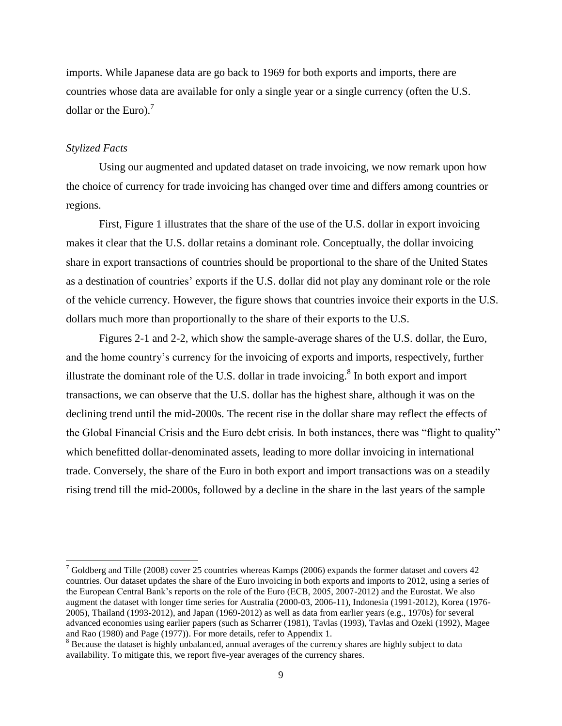imports. While Japanese data are go back to 1969 for both exports and imports, there are countries whose data are available for only a single year or a single currency (often the U.S. dollar or the Euro). $<sup>7</sup>$ </sup>

## *Stylized Facts*

 $\overline{\phantom{a}}$ 

Using our augmented and updated dataset on trade invoicing, we now remark upon how the choice of currency for trade invoicing has changed over time and differs among countries or regions.

First, Figure 1 illustrates that the share of the use of the U.S. dollar in export invoicing makes it clear that the U.S. dollar retains a dominant role. Conceptually, the dollar invoicing share in export transactions of countries should be proportional to the share of the United States as a destination of countries' exports if the U.S. dollar did not play any dominant role or the role of the vehicle currency. However, the figure shows that countries invoice their exports in the U.S. dollars much more than proportionally to the share of their exports to the U.S.

Figures 2-1 and 2-2, which show the sample-average shares of the U.S. dollar, the Euro, and the home country's currency for the invoicing of exports and imports, respectively, further illustrate the dominant role of the U.S. dollar in trade invoicing.<sup>8</sup> In both export and import transactions, we can observe that the U.S. dollar has the highest share, although it was on the declining trend until the mid-2000s. The recent rise in the dollar share may reflect the effects of the Global Financial Crisis and the Euro debt crisis. In both instances, there was "flight to quality" which benefitted dollar-denominated assets, leading to more dollar invoicing in international trade. Conversely, the share of the Euro in both export and import transactions was on a steadily rising trend till the mid-2000s, followed by a decline in the share in the last years of the sample

 $7$  Goldberg and Tille (2008) cover 25 countries whereas Kamps (2006) expands the former dataset and covers 42 countries. Our dataset updates the share of the Euro invoicing in both exports and imports to 2012, using a series of the European Central Bank's reports on the role of the Euro (ECB, 2005, 2007-2012) and the Eurostat. We also augment the dataset with longer time series for Australia (2000-03, 2006-11), Indonesia (1991-2012), Korea (1976- 2005), Thailand (1993-2012), and Japan (1969-2012) as well as data from earlier years (e.g., 1970s) for several advanced economies using earlier papers (such as Scharrer (1981), Tavlas (1993), Tavlas and Ozeki (1992), Magee and Rao (1980) and Page (1977)). For more details, refer to Appendix 1.

<sup>&</sup>lt;sup>8</sup> Because the dataset is highly unbalanced, annual averages of the currency shares are highly subject to data availability. To mitigate this, we report five-year averages of the currency shares.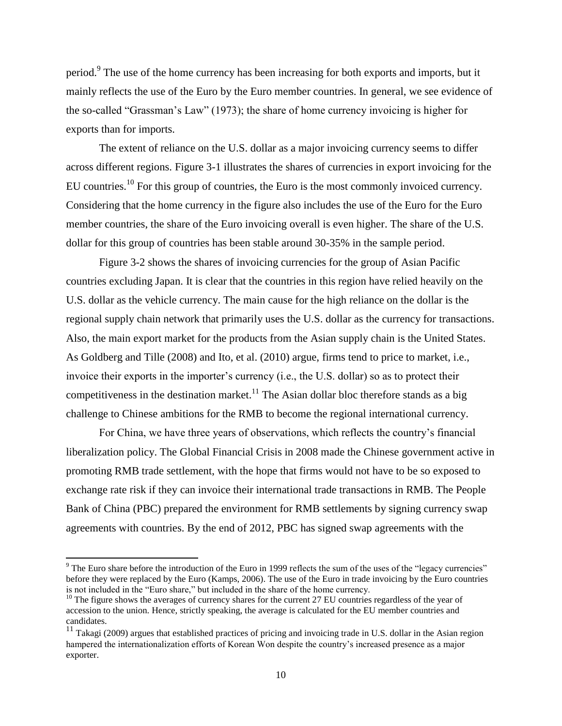period.<sup>9</sup> The use of the home currency has been increasing for both exports and imports, but it mainly reflects the use of the Euro by the Euro member countries. In general, we see evidence of the so-called "Grassman's Law" (1973); the share of home currency invoicing is higher for exports than for imports.

The extent of reliance on the U.S. dollar as a major invoicing currency seems to differ across different regions. Figure 3-1 illustrates the shares of currencies in export invoicing for the EU countries.<sup>10</sup> For this group of countries, the Euro is the most commonly invoiced currency. Considering that the home currency in the figure also includes the use of the Euro for the Euro member countries, the share of the Euro invoicing overall is even higher. The share of the U.S. dollar for this group of countries has been stable around 30-35% in the sample period.

Figure 3-2 shows the shares of invoicing currencies for the group of Asian Pacific countries excluding Japan. It is clear that the countries in this region have relied heavily on the U.S. dollar as the vehicle currency. The main cause for the high reliance on the dollar is the regional supply chain network that primarily uses the U.S. dollar as the currency for transactions. Also, the main export market for the products from the Asian supply chain is the United States. As Goldberg and Tille (2008) and Ito, et al. (2010) argue, firms tend to price to market, i.e., invoice their exports in the importer's currency (i.e., the U.S. dollar) so as to protect their competitiveness in the destination market.<sup>11</sup> The Asian dollar bloc therefore stands as a big challenge to Chinese ambitions for the RMB to become the regional international currency.

For China, we have three years of observations, which reflects the country's financial liberalization policy. The Global Financial Crisis in 2008 made the Chinese government active in promoting RMB trade settlement, with the hope that firms would not have to be so exposed to exchange rate risk if they can invoice their international trade transactions in RMB. The People Bank of China (PBC) prepared the environment for RMB settlements by signing currency swap agreements with countries. By the end of 2012, PBC has signed swap agreements with the

l

<sup>9</sup> The Euro share before the introduction of the Euro in 1999 reflects the sum of the uses of the "legacy currencies" before they were replaced by the Euro (Kamps, 2006). The use of the Euro in trade invoicing by the Euro countries is not included in the "Euro share," but included in the share of the home currency.

 $10$  The figure shows the averages of currency shares for the current 27 EU countries regardless of the year of accession to the union. Hence, strictly speaking, the average is calculated for the EU member countries and candidates.

<sup>&</sup>lt;sup>11</sup> Takagi (2009) argues that established practices of pricing and invoicing trade in U.S. dollar in the Asian region hampered the internationalization efforts of Korean Won despite the country's increased presence as a major exporter.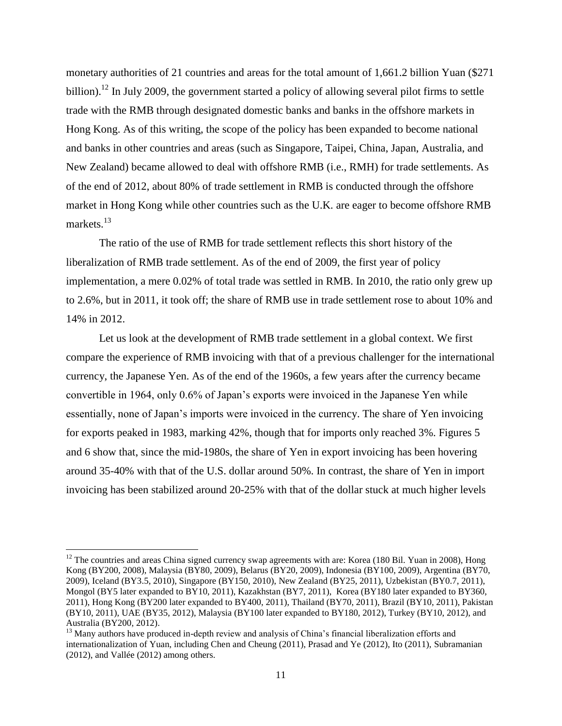monetary authorities of 21 countries and areas for the total amount of 1,661.2 billion Yuan (\$271 billion).<sup>12</sup> In July 2009, the government started a policy of allowing several pilot firms to settle trade with the RMB through designated domestic banks and banks in the offshore markets in Hong Kong. As of this writing, the scope of the policy has been expanded to become national and banks in other countries and areas (such as Singapore, Taipei, China, Japan, Australia, and New Zealand) became allowed to deal with offshore RMB (i.e., RMH) for trade settlements. As of the end of 2012, about 80% of trade settlement in RMB is conducted through the offshore market in Hong Kong while other countries such as the U.K. are eager to become offshore RMB markets.<sup>13</sup>

The ratio of the use of RMB for trade settlement reflects this short history of the liberalization of RMB trade settlement. As of the end of 2009, the first year of policy implementation, a mere 0.02% of total trade was settled in RMB. In 2010, the ratio only grew up to 2.6%, but in 2011, it took off; the share of RMB use in trade settlement rose to about 10% and 14% in 2012.

Let us look at the development of RMB trade settlement in a global context. We first compare the experience of RMB invoicing with that of a previous challenger for the international currency, the Japanese Yen. As of the end of the 1960s, a few years after the currency became convertible in 1964, only 0.6% of Japan's exports were invoiced in the Japanese Yen while essentially, none of Japan's imports were invoiced in the currency. The share of Yen invoicing for exports peaked in 1983, marking 42%, though that for imports only reached 3%. Figures 5 and 6 show that, since the mid-1980s, the share of Yen in export invoicing has been hovering around 35-40% with that of the U.S. dollar around 50%. In contrast, the share of Yen in import invoicing has been stabilized around 20-25% with that of the dollar stuck at much higher levels

 $12$  The countries and areas China signed currency swap agreements with are: Korea (180 Bil. Yuan in 2008), Hong Kong (BY200, 2008), Malaysia (BY80, 2009), Belarus (BY20, 2009), Indonesia (BY100, 2009), Argentina (BY70, 2009), Iceland (BY3.5, 2010), Singapore (BY150, 2010), New Zealand (BY25, 2011), Uzbekistan (BY0.7, 2011), Mongol (BY5 later expanded to BY10, 2011), Kazakhstan (BY7, 2011), Korea (BY180 later expanded to BY360, 2011), Hong Kong (BY200 later expanded to BY400, 2011), Thailand (BY70, 2011), Brazil (BY10, 2011), Pakistan (BY10, 2011), UAE (BY35, 2012), Malaysia (BY100 later expanded to BY180, 2012), Turkey (BY10, 2012), and Australia (BY200, 2012).

<sup>&</sup>lt;sup>13</sup> Many authors have produced in-depth review and analysis of China's financial liberalization efforts and internationalization of Yuan, including Chen and Cheung (2011), Prasad and Ye (2012), Ito (2011), Subramanian (2012), and Vallée (2012) among others.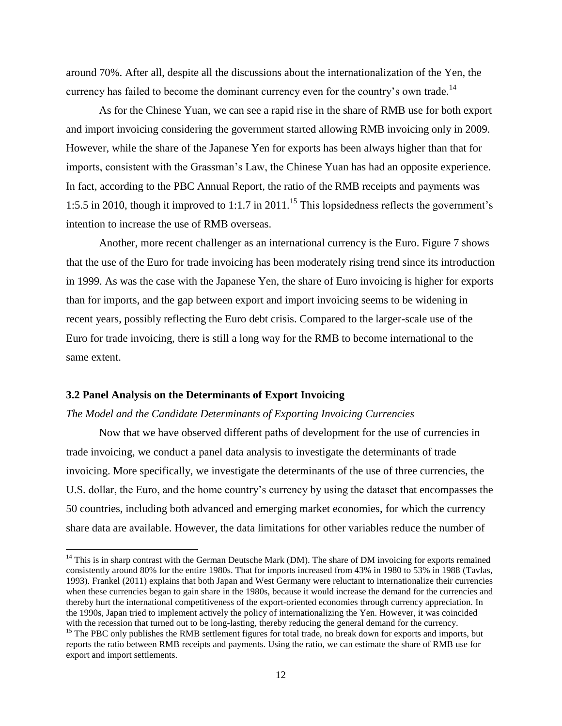around 70%. After all, despite all the discussions about the internationalization of the Yen, the currency has failed to become the dominant currency even for the country's own trade.<sup>14</sup>

As for the Chinese Yuan, we can see a rapid rise in the share of RMB use for both export and import invoicing considering the government started allowing RMB invoicing only in 2009. However, while the share of the Japanese Yen for exports has been always higher than that for imports, consistent with the Grassman's Law, the Chinese Yuan has had an opposite experience. In fact, according to the PBC Annual Report, the ratio of the RMB receipts and payments was 1:5.5 in 2010, though it improved to 1:1.7 in 2011.<sup>15</sup> This lopsidedness reflects the government's intention to increase the use of RMB overseas.

Another, more recent challenger as an international currency is the Euro. Figure 7 shows that the use of the Euro for trade invoicing has been moderately rising trend since its introduction in 1999. As was the case with the Japanese Yen, the share of Euro invoicing is higher for exports than for imports, and the gap between export and import invoicing seems to be widening in recent years, possibly reflecting the Euro debt crisis. Compared to the larger-scale use of the Euro for trade invoicing, there is still a long way for the RMB to become international to the same extent.

### **3.2 Panel Analysis on the Determinants of Export Invoicing**

 $\overline{\phantom{a}}$ 

#### *The Model and the Candidate Determinants of Exporting Invoicing Currencies*

Now that we have observed different paths of development for the use of currencies in trade invoicing, we conduct a panel data analysis to investigate the determinants of trade invoicing. More specifically, we investigate the determinants of the use of three currencies, the U.S. dollar, the Euro, and the home country's currency by using the dataset that encompasses the 50 countries, including both advanced and emerging market economies, for which the currency share data are available. However, the data limitations for other variables reduce the number of

 $14$  This is in sharp contrast with the German Deutsche Mark (DM). The share of DM invoicing for exports remained consistently around 80% for the entire 1980s. That for imports increased from 43% in 1980 to 53% in 1988 (Tavlas, 1993). Frankel (2011) explains that both Japan and West Germany were reluctant to internationalize their currencies when these currencies began to gain share in the 1980s, because it would increase the demand for the currencies and thereby hurt the international competitiveness of the export-oriented economies through currency appreciation. In the 1990s, Japan tried to implement actively the policy of internationalizing the Yen. However, it was coincided with the recession that turned out to be long-lasting, thereby reducing the general demand for the currency.

 $<sup>15</sup>$  The PBC only publishes the RMB settlement figures for total trade, no break down for exports and imports, but</sup> reports the ratio between RMB receipts and payments. Using the ratio, we can estimate the share of RMB use for export and import settlements.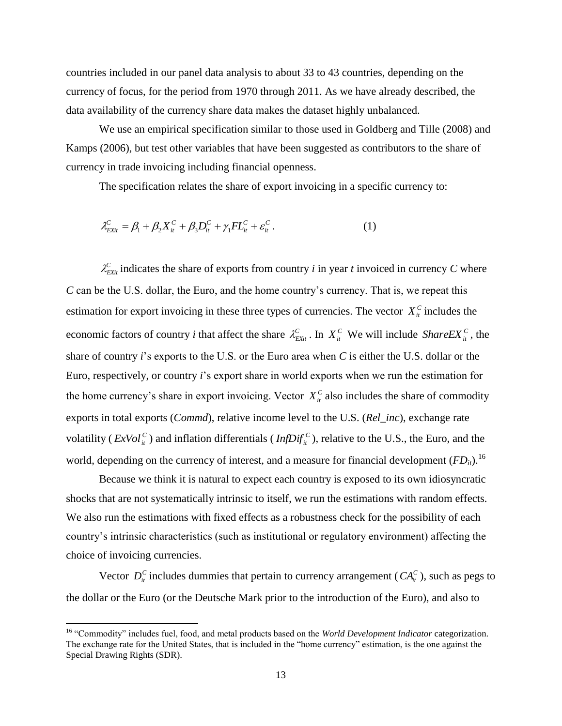countries included in our panel data analysis to about 33 to 43 countries, depending on the currency of focus, for the period from 1970 through 2011. As we have already described, the data availability of the currency share data makes the dataset highly unbalanced.

We use an empirical specification similar to those used in Goldberg and Tille (2008) and Kamps (2006), but test other variables that have been suggested as contributors to the share of currency in trade invoicing including financial openness.

The specification relates the share of export invoicing in a specific currency to:

$$
\lambda_{Exit}^C = \beta_1 + \beta_2 X_{it}^C + \beta_3 D_{it}^C + \gamma_1 F L_{it}^C + \varepsilon_{it}^C.
$$
 (1)

 $\lambda_{\text{Exit}}^C$  indicates the share of exports from country *i* in year *t* invoiced in currency *C* where *C* can be the U.S. dollar, the Euro, and the home country's currency. That is, we repeat this estimation for export invoicing in these three types of currencies. The vector  $X_i^c$  includes the economic factors of country *i* that affect the share  $\lambda_{\text{Exit}}^C$ . In  $X_i^C$  We will include *ShareEX*<sup>*C*</sup>, the share of country *i*'s exports to the U.S. or the Euro area when *C* is either the U.S. dollar or the Euro, respectively, or country *i*'s export share in world exports when we run the estimation for the home currency's share in export invoicing. Vector  $X_i^C$  also includes the share of commodity exports in total exports (*Commd*), relative income level to the U.S. (*Rel\_inc*), exchange rate volatility (*ExVol*<sup>*C*</sup><sub>*it*</sub>) and inflation differentials (*InfDif*<sub>*it*</sub><sup>*C*</sup>), relative to the U.S., the Euro, and the world, depending on the currency of interest, and a measure for financial development ( $FD<sub>it</sub>$ ).<sup>16</sup>

Because we think it is natural to expect each country is exposed to its own idiosyncratic shocks that are not systematically intrinsic to itself, we run the estimations with random effects. We also run the estimations with fixed effects as a robustness check for the possibility of each country's intrinsic characteristics (such as institutional or regulatory environment) affecting the choice of invoicing currencies.

Vector  $D_i^C$  includes dummies that pertain to currency arrangement ( $CA_i^C$ ), such as pegs to the dollar or the Euro (or the Deutsche Mark prior to the introduction of the Euro), and also to

<sup>&</sup>lt;sup>16</sup> "Commodity" includes fuel, food, and metal products based on the *World Development Indicator* categorization. The exchange rate for the United States, that is included in the "home currency" estimation, is the one against the Special Drawing Rights (SDR).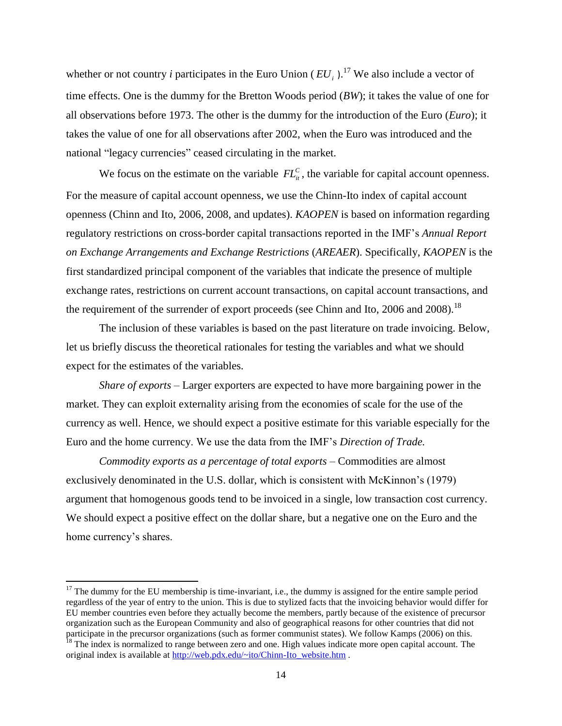whether or not country *i* participates in the Euro Union  $(EU_i)$ .<sup>17</sup> We also include a vector of time effects. One is the dummy for the Bretton Woods period (*BW*); it takes the value of one for all observations before 1973. The other is the dummy for the introduction of the Euro (*Euro*); it takes the value of one for all observations after 2002, when the Euro was introduced and the national "legacy currencies" ceased circulating in the market.

We focus on the estimate on the variable  $FL_{it}^C$ , the variable for capital account openness. For the measure of capital account openness, we use the Chinn-Ito index of capital account openness (Chinn and Ito, 2006, 2008, and updates). *KAOPEN* is based on information regarding regulatory restrictions on cross-border capital transactions reported in the IMF's *Annual Report on Exchange Arrangements and Exchange Restrictions* (*AREAER*). Specifically, *KAOPEN* is the first standardized principal component of the variables that indicate the presence of multiple exchange rates, restrictions on current account transactions, on capital account transactions, and the requirement of the surrender of export proceeds (see Chinn and Ito, 2006 and 2008).<sup>18</sup>

The inclusion of these variables is based on the past literature on trade invoicing. Below, let us briefly discuss the theoretical rationales for testing the variables and what we should expect for the estimates of the variables.

*Share of exports* – Larger exporters are expected to have more bargaining power in the market. They can exploit externality arising from the economies of scale for the use of the currency as well. Hence, we should expect a positive estimate for this variable especially for the Euro and the home currency. We use the data from the IMF's *Direction of Trade.*

*Commodity exports as a percentage of total exports* – Commodities are almost exclusively denominated in the U.S. dollar, which is consistent with McKinnon's (1979) argument that homogenous goods tend to be invoiced in a single, low transaction cost currency. We should expect a positive effect on the dollar share, but a negative one on the Euro and the home currency's shares.

 $17$  The dummy for the EU membership is time-invariant, i.e., the dummy is assigned for the entire sample period regardless of the year of entry to the union. This is due to stylized facts that the invoicing behavior would differ for EU member countries even before they actually become the members, partly because of the existence of precursor organization such as the European Community and also of geographical reasons for other countries that did not participate in the precursor organizations (such as former communist states). We follow Kamps (2006) on this.

<sup>&</sup>lt;sup>18</sup> The index is normalized to range between zero and one. High values indicate more open capital account. The original index is available at [http://web.pdx.edu/~ito/Chinn-Ito\\_website.htm](http://web.pdx.edu/~ito/Chinn-Ito_website.htm) .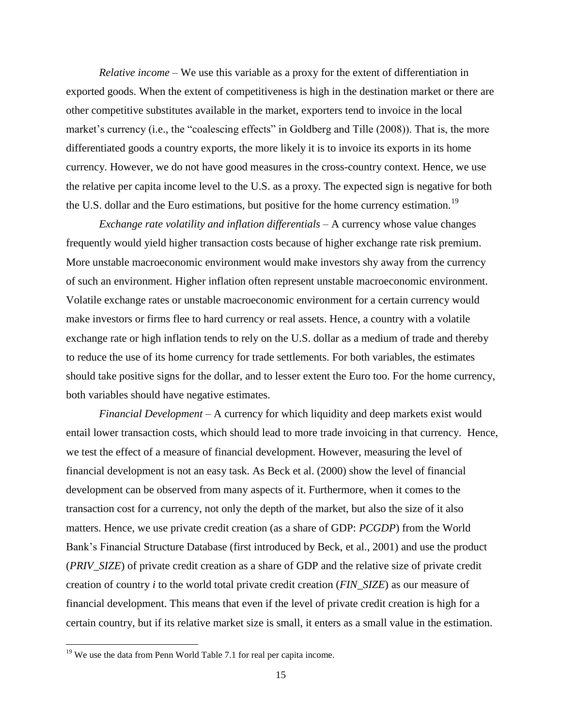*Relative income* – We use this variable as a proxy for the extent of differentiation in exported goods. When the extent of competitiveness is high in the destination market or there are other competitive substitutes available in the market, exporters tend to invoice in the local market's currency (i.e., the "coalescing effects" in Goldberg and Tille (2008)). That is, the more differentiated goods a country exports, the more likely it is to invoice its exports in its home currency. However, we do not have good measures in the cross-country context. Hence, we use the relative per capita income level to the U.S. as a proxy. The expected sign is negative for both the U.S. dollar and the Euro estimations, but positive for the home currency estimation.<sup>19</sup>

*Exchange rate volatility and inflation differentials* – A currency whose value changes frequently would yield higher transaction costs because of higher exchange rate risk premium. More unstable macroeconomic environment would make investors shy away from the currency of such an environment. Higher inflation often represent unstable macroeconomic environment. Volatile exchange rates or unstable macroeconomic environment for a certain currency would make investors or firms flee to hard currency or real assets. Hence, a country with a volatile exchange rate or high inflation tends to rely on the U.S. dollar as a medium of trade and thereby to reduce the use of its home currency for trade settlements. For both variables, the estimates should take positive signs for the dollar, and to lesser extent the Euro too. For the home currency, both variables should have negative estimates.

*Financial Development* – A currency for which liquidity and deep markets exist would entail lower transaction costs, which should lead to more trade invoicing in that currency. Hence, we test the effect of a measure of financial development. However, measuring the level of financial development is not an easy task. As Beck et al. (2000) show the level of financial development can be observed from many aspects of it. Furthermore, when it comes to the transaction cost for a currency, not only the depth of the market, but also the size of it also matters. Hence, we use private credit creation (as a share of GDP: *PCGDP*) from the World Bank's Financial Structure Database (first introduced by Beck, et al., 2001) and use the product (*PRIV\_SIZE*) of private credit creation as a share of GDP and the relative size of private credit creation of country *i* to the world total private credit creation (*FIN\_SIZE*) as our measure of financial development. This means that even if the level of private credit creation is high for a certain country, but if its relative market size is small, it enters as a small value in the estimation.

 $19$  We use the data from Penn World Table 7.1 for real per capita income.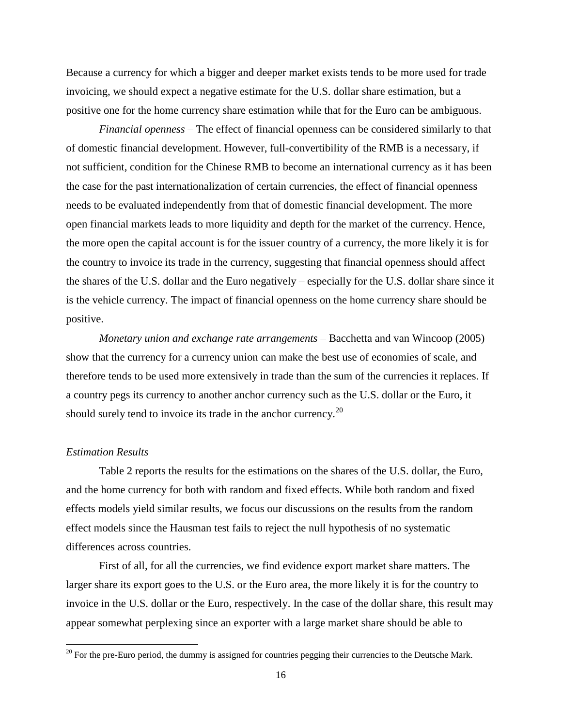Because a currency for which a bigger and deeper market exists tends to be more used for trade invoicing, we should expect a negative estimate for the U.S. dollar share estimation, but a positive one for the home currency share estimation while that for the Euro can be ambiguous.

*Financial openness* – The effect of financial openness can be considered similarly to that of domestic financial development. However, full-convertibility of the RMB is a necessary, if not sufficient, condition for the Chinese RMB to become an international currency as it has been the case for the past internationalization of certain currencies, the effect of financial openness needs to be evaluated independently from that of domestic financial development. The more open financial markets leads to more liquidity and depth for the market of the currency. Hence, the more open the capital account is for the issuer country of a currency, the more likely it is for the country to invoice its trade in the currency, suggesting that financial openness should affect the shares of the U.S. dollar and the Euro negatively – especially for the U.S. dollar share since it is the vehicle currency. The impact of financial openness on the home currency share should be positive.

*Monetary union and exchange rate arrangements* – Bacchetta and van Wincoop (2005) show that the currency for a currency union can make the best use of economies of scale, and therefore tends to be used more extensively in trade than the sum of the currencies it replaces. If a country pegs its currency to another anchor currency such as the U.S. dollar or the Euro, it should surely tend to invoice its trade in the anchor currency.<sup>20</sup>

#### *Estimation Results*

 $\overline{\phantom{a}}$ 

Table 2 reports the results for the estimations on the shares of the U.S. dollar, the Euro, and the home currency for both with random and fixed effects. While both random and fixed effects models yield similar results, we focus our discussions on the results from the random effect models since the Hausman test fails to reject the null hypothesis of no systematic differences across countries.

First of all, for all the currencies, we find evidence export market share matters. The larger share its export goes to the U.S. or the Euro area, the more likely it is for the country to invoice in the U.S. dollar or the Euro, respectively. In the case of the dollar share, this result may appear somewhat perplexing since an exporter with a large market share should be able to

 $20$  For the pre-Euro period, the dummy is assigned for countries pegging their currencies to the Deutsche Mark.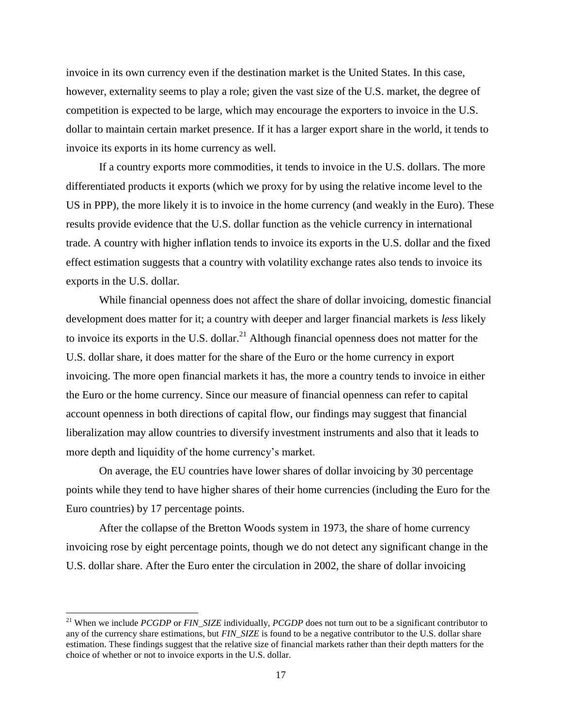invoice in its own currency even if the destination market is the United States. In this case, however, externality seems to play a role; given the vast size of the U.S. market, the degree of competition is expected to be large, which may encourage the exporters to invoice in the U.S. dollar to maintain certain market presence. If it has a larger export share in the world, it tends to invoice its exports in its home currency as well.

If a country exports more commodities, it tends to invoice in the U.S. dollars. The more differentiated products it exports (which we proxy for by using the relative income level to the US in PPP), the more likely it is to invoice in the home currency (and weakly in the Euro). These results provide evidence that the U.S. dollar function as the vehicle currency in international trade. A country with higher inflation tends to invoice its exports in the U.S. dollar and the fixed effect estimation suggests that a country with volatility exchange rates also tends to invoice its exports in the U.S. dollar.

While financial openness does not affect the share of dollar invoicing, domestic financial development does matter for it; a country with deeper and larger financial markets is *less* likely to invoice its exports in the U.S. dollar.<sup>21</sup> Although financial openness does not matter for the U.S. dollar share, it does matter for the share of the Euro or the home currency in export invoicing. The more open financial markets it has, the more a country tends to invoice in either the Euro or the home currency. Since our measure of financial openness can refer to capital account openness in both directions of capital flow, our findings may suggest that financial liberalization may allow countries to diversify investment instruments and also that it leads to more depth and liquidity of the home currency's market.

On average, the EU countries have lower shares of dollar invoicing by 30 percentage points while they tend to have higher shares of their home currencies (including the Euro for the Euro countries) by 17 percentage points.

After the collapse of the Bretton Woods system in 1973, the share of home currency invoicing rose by eight percentage points, though we do not detect any significant change in the U.S. dollar share. After the Euro enter the circulation in 2002, the share of dollar invoicing

<sup>&</sup>lt;sup>21</sup> When we include *PCGDP* or *FIN* SIZE individually, *PCGDP* does not turn out to be a significant contributor to any of the currency share estimations, but *FIN* SIZE is found to be a negative contributor to the U.S. dollar share estimation. These findings suggest that the relative size of financial markets rather than their depth matters for the choice of whether or not to invoice exports in the U.S. dollar.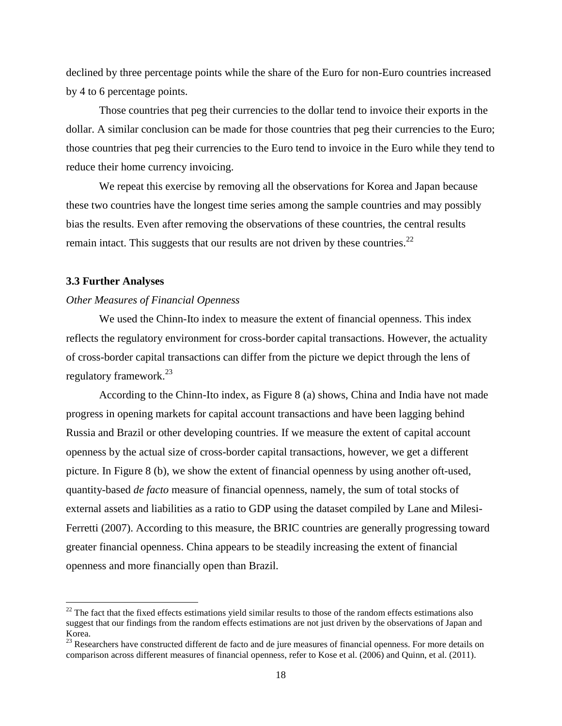declined by three percentage points while the share of the Euro for non-Euro countries increased by 4 to 6 percentage points.

Those countries that peg their currencies to the dollar tend to invoice their exports in the dollar. A similar conclusion can be made for those countries that peg their currencies to the Euro; those countries that peg their currencies to the Euro tend to invoice in the Euro while they tend to reduce their home currency invoicing.

We repeat this exercise by removing all the observations for Korea and Japan because these two countries have the longest time series among the sample countries and may possibly bias the results. Even after removing the observations of these countries, the central results remain intact. This suggests that our results are not driven by these countries.<sup>22</sup>

#### **3.3 Further Analyses**

 $\overline{a}$ 

#### *Other Measures of Financial Openness*

We used the Chinn-Ito index to measure the extent of financial openness. This index reflects the regulatory environment for cross-border capital transactions. However, the actuality of cross-border capital transactions can differ from the picture we depict through the lens of regulatory framework.<sup>23</sup>

According to the Chinn-Ito index, as Figure 8 (a) shows, China and India have not made progress in opening markets for capital account transactions and have been lagging behind Russia and Brazil or other developing countries. If we measure the extent of capital account openness by the actual size of cross-border capital transactions, however, we get a different picture. In Figure 8 (b), we show the extent of financial openness by using another oft-used, quantity-based *de facto* measure of financial openness, namely, the sum of total stocks of external assets and liabilities as a ratio to GDP using the dataset compiled by Lane and Milesi-Ferretti (2007). According to this measure, the BRIC countries are generally progressing toward greater financial openness. China appears to be steadily increasing the extent of financial openness and more financially open than Brazil.

 $22$  The fact that the fixed effects estimations yield similar results to those of the random effects estimations also suggest that our findings from the random effects estimations are not just driven by the observations of Japan and Korea.

<sup>&</sup>lt;sup>23</sup> Researchers have constructed different de facto and de jure measures of financial openness. For more details on comparison across different measures of financial openness, refer to Kose et al. (2006) and Quinn, et al. (2011).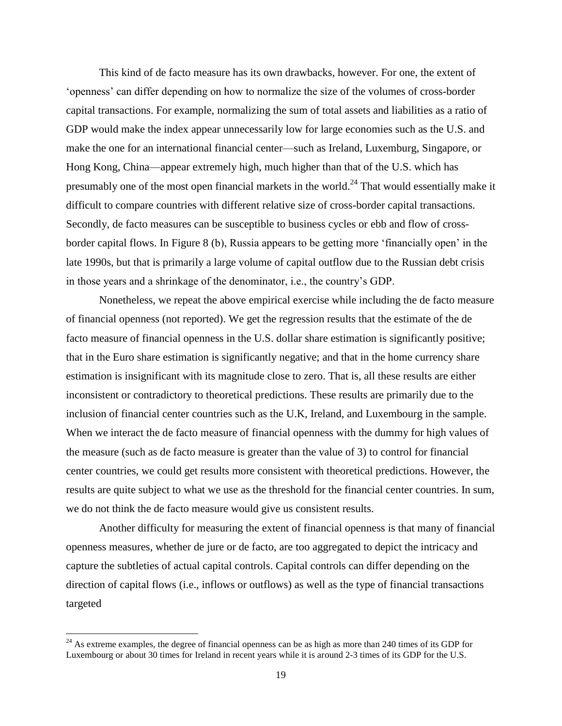This kind of de facto measure has its own drawbacks, however. For one, the extent of 'openness' can differ depending on how to normalize the size of the volumes of cross-border capital transactions. For example, normalizing the sum of total assets and liabilities as a ratio of GDP would make the index appear unnecessarily low for large economies such as the U.S. and make the one for an international financial center—such as Ireland, Luxemburg, Singapore, or Hong Kong, China—appear extremely high, much higher than that of the U.S. which has presumably one of the most open financial markets in the world.<sup>24</sup> That would essentially make it difficult to compare countries with different relative size of cross-border capital transactions. Secondly, de facto measures can be susceptible to business cycles or ebb and flow of crossborder capital flows. In Figure 8 (b), Russia appears to be getting more 'financially open' in the late 1990s, but that is primarily a large volume of capital outflow due to the Russian debt crisis in those years and a shrinkage of the denominator, i.e., the country's GDP.

Nonetheless, we repeat the above empirical exercise while including the de facto measure of financial openness (not reported). We get the regression results that the estimate of the de facto measure of financial openness in the U.S. dollar share estimation is significantly positive; that in the Euro share estimation is significantly negative; and that in the home currency share estimation is insignificant with its magnitude close to zero. That is, all these results are either inconsistent or contradictory to theoretical predictions. These results are primarily due to the inclusion of financial center countries such as the U.K, Ireland, and Luxembourg in the sample. When we interact the de facto measure of financial openness with the dummy for high values of the measure (such as de facto measure is greater than the value of 3) to control for financial center countries, we could get results more consistent with theoretical predictions. However, the results are quite subject to what we use as the threshold for the financial center countries. In sum, we do not think the de facto measure would give us consistent results.

Another difficulty for measuring the extent of financial openness is that many of financial openness measures, whether de jure or de facto, are too aggregated to depict the intricacy and capture the subtleties of actual capital controls. Capital controls can differ depending on the direction of capital flows (i.e., inflows or outflows) as well as the type of financial transactions targeted

 $^{24}$  As extreme examples, the degree of financial openness can be as high as more than 240 times of its GDP for Luxembourg or about 30 times for Ireland in recent years while it is around 2-3 times of its GDP for the U.S.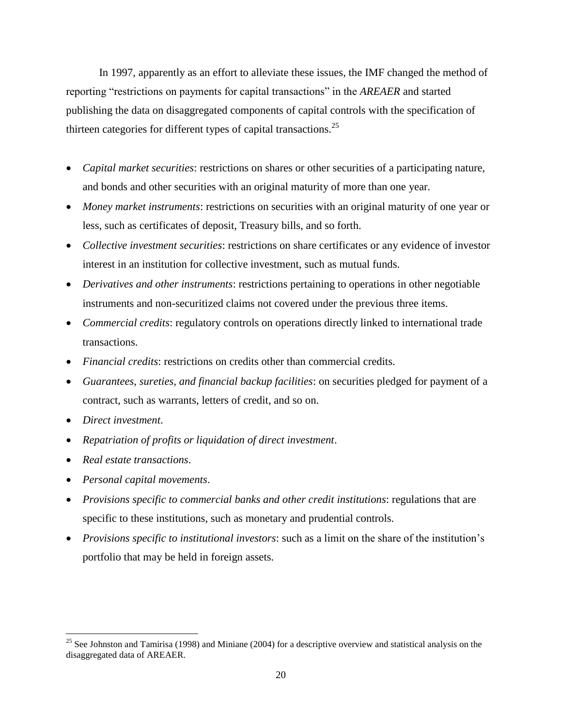In 1997, apparently as an effort to alleviate these issues, the IMF changed the method of reporting "restrictions on payments for capital transactions" in the *AREAER* and started publishing the data on disaggregated components of capital controls with the specification of thirteen categories for different types of capital transactions.<sup>25</sup>

- *Capital market securities*: restrictions on shares or other securities of a participating nature, and bonds and other securities with an original maturity of more than one year.
- *Money market instruments*: restrictions on securities with an original maturity of one year or less, such as certificates of deposit, Treasury bills, and so forth.
- *Collective investment securities*: restrictions on share certificates or any evidence of investor interest in an institution for collective investment, such as mutual funds.
- *Derivatives and other instruments*: restrictions pertaining to operations in other negotiable instruments and non-securitized claims not covered under the previous three items.
- *Commercial credits*: regulatory controls on operations directly linked to international trade transactions.
- *Financial credits*: restrictions on credits other than commercial credits.
- *Guarantees, sureties, and financial backup facilities*: on securities pledged for payment of a contract, such as warrants, letters of credit, and so on.
- *Direct investment*.

- *Repatriation of profits or liquidation of direct investment*.
- *Real estate transactions*.
- *Personal capital movements*.
- *Provisions specific to commercial banks and other credit institutions*: regulations that are specific to these institutions, such as monetary and prudential controls.
- *Provisions specific to institutional investors*: such as a limit on the share of the institution's portfolio that may be held in foreign assets.

<sup>&</sup>lt;sup>25</sup> See Johnston and Tamirisa (1998) and Miniane (2004) for a descriptive overview and statistical analysis on the disaggregated data of AREAER.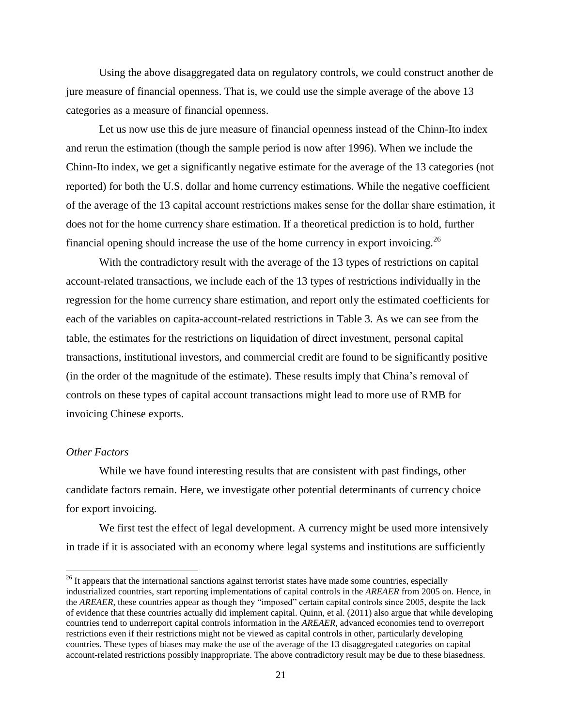Using the above disaggregated data on regulatory controls, we could construct another de jure measure of financial openness. That is, we could use the simple average of the above 13 categories as a measure of financial openness.

Let us now use this de jure measure of financial openness instead of the Chinn-Ito index and rerun the estimation (though the sample period is now after 1996). When we include the Chinn-Ito index, we get a significantly negative estimate for the average of the 13 categories (not reported) for both the U.S. dollar and home currency estimations. While the negative coefficient of the average of the 13 capital account restrictions makes sense for the dollar share estimation, it does not for the home currency share estimation. If a theoretical prediction is to hold, further financial opening should increase the use of the home currency in export invoicing.<sup>26</sup>

With the contradictory result with the average of the 13 types of restrictions on capital account-related transactions, we include each of the 13 types of restrictions individually in the regression for the home currency share estimation, and report only the estimated coefficients for each of the variables on capita-account-related restrictions in Table 3. As we can see from the table, the estimates for the restrictions on liquidation of direct investment, personal capital transactions, institutional investors, and commercial credit are found to be significantly positive (in the order of the magnitude of the estimate). These results imply that China's removal of controls on these types of capital account transactions might lead to more use of RMB for invoicing Chinese exports.

# *Other Factors*

 $\overline{a}$ 

While we have found interesting results that are consistent with past findings, other candidate factors remain. Here, we investigate other potential determinants of currency choice for export invoicing.

We first test the effect of legal development. A currency might be used more intensively in trade if it is associated with an economy where legal systems and institutions are sufficiently

<sup>&</sup>lt;sup>26</sup> It appears that the international sanctions against terrorist states have made some countries, especially industrialized countries, start reporting implementations of capital controls in the *AREAER* from 2005 on. Hence, in the *AREAER*, these countries appear as though they "imposed" certain capital controls since 2005, despite the lack of evidence that these countries actually did implement capital. Quinn, et al. (2011) also argue that while developing countries tend to underreport capital controls information in the *AREAER*, advanced economies tend to overreport restrictions even if their restrictions might not be viewed as capital controls in other, particularly developing countries. These types of biases may make the use of the average of the 13 disaggregated categories on capital account-related restrictions possibly inappropriate. The above contradictory result may be due to these biasedness.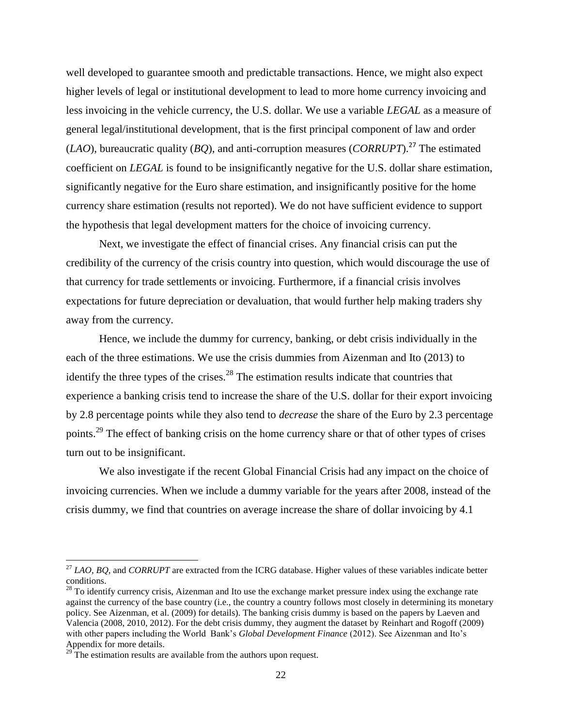well developed to guarantee smooth and predictable transactions. Hence, we might also expect higher levels of legal or institutional development to lead to more home currency invoicing and less invoicing in the vehicle currency, the U.S. dollar. We use a variable *LEGAL* as a measure of general legal/institutional development, that is the first principal component of law and order (*LAO*), bureaucratic quality (*BQ*), and anti-corruption measures (*CORRUPT*).<sup>27</sup> The estimated coefficient on *LEGAL* is found to be insignificantly negative for the U.S. dollar share estimation, significantly negative for the Euro share estimation, and insignificantly positive for the home currency share estimation (results not reported). We do not have sufficient evidence to support the hypothesis that legal development matters for the choice of invoicing currency.

Next, we investigate the effect of financial crises. Any financial crisis can put the credibility of the currency of the crisis country into question, which would discourage the use of that currency for trade settlements or invoicing. Furthermore, if a financial crisis involves expectations for future depreciation or devaluation, that would further help making traders shy away from the currency.

Hence, we include the dummy for currency, banking, or debt crisis individually in the each of the three estimations. We use the crisis dummies from Aizenman and Ito (2013) to identify the three types of the crises.<sup>28</sup> The estimation results indicate that countries that experience a banking crisis tend to increase the share of the U.S. dollar for their export invoicing by 2.8 percentage points while they also tend to *decrease* the share of the Euro by 2.3 percentage points.<sup>29</sup> The effect of banking crisis on the home currency share or that of other types of crises turn out to be insignificant.

We also investigate if the recent Global Financial Crisis had any impact on the choice of invoicing currencies. When we include a dummy variable for the years after 2008, instead of the crisis dummy, we find that countries on average increase the share of dollar invoicing by 4.1

<sup>27</sup> *LAO*, *BQ*, and *CORRUPT* are extracted from the ICRG database. Higher values of these variables indicate better conditions.

 $^{28}$  To identify currency crisis, Aizenman and Ito use the exchange market pressure index using the exchange rate against the currency of the base country (i.e., the country a country follows most closely in determining its monetary policy. See Aizenman, et al. (2009) for details). The banking crisis dummy is based on the papers by Laeven and Valencia (2008, 2010, 2012). For the debt crisis dummy, they augment the dataset by Reinhart and Rogoff (2009) with other papers including the World Bank's *Global Development Finance* (2012). See Aizenman and Ito's Appendix for more details.

 $29^{\circ}$ The estimation results are available from the authors upon request.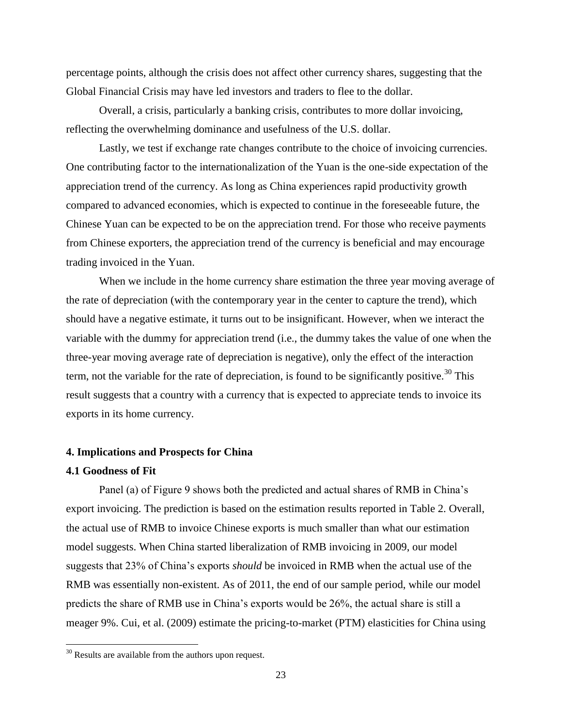percentage points, although the crisis does not affect other currency shares, suggesting that the Global Financial Crisis may have led investors and traders to flee to the dollar.

Overall, a crisis, particularly a banking crisis, contributes to more dollar invoicing, reflecting the overwhelming dominance and usefulness of the U.S. dollar.

Lastly, we test if exchange rate changes contribute to the choice of invoicing currencies. One contributing factor to the internationalization of the Yuan is the one-side expectation of the appreciation trend of the currency. As long as China experiences rapid productivity growth compared to advanced economies, which is expected to continue in the foreseeable future, the Chinese Yuan can be expected to be on the appreciation trend. For those who receive payments from Chinese exporters, the appreciation trend of the currency is beneficial and may encourage trading invoiced in the Yuan.

When we include in the home currency share estimation the three year moving average of the rate of depreciation (with the contemporary year in the center to capture the trend), which should have a negative estimate, it turns out to be insignificant. However, when we interact the variable with the dummy for appreciation trend (i.e., the dummy takes the value of one when the three-year moving average rate of depreciation is negative), only the effect of the interaction term, not the variable for the rate of depreciation, is found to be significantly positive.<sup>30</sup> This result suggests that a country with a currency that is expected to appreciate tends to invoice its exports in its home currency.

#### **4. Implications and Prospects for China**

# **4.1 Goodness of Fit**

 $\overline{\phantom{a}}$ 

Panel (a) of Figure 9 shows both the predicted and actual shares of RMB in China's export invoicing. The prediction is based on the estimation results reported in Table 2. Overall, the actual use of RMB to invoice Chinese exports is much smaller than what our estimation model suggests. When China started liberalization of RMB invoicing in 2009, our model suggests that 23% of China's exports *should* be invoiced in RMB when the actual use of the RMB was essentially non-existent. As of 2011, the end of our sample period, while our model predicts the share of RMB use in China's exports would be 26%, the actual share is still a meager 9%. Cui, et al. (2009) estimate the pricing-to-market (PTM) elasticities for China using

 $30$  Results are available from the authors upon request.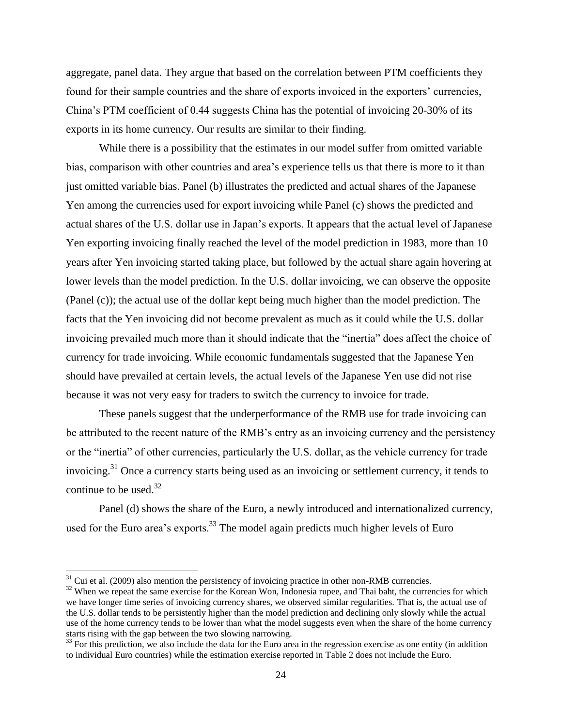aggregate, panel data. They argue that based on the correlation between PTM coefficients they found for their sample countries and the share of exports invoiced in the exporters' currencies, China's PTM coefficient of 0.44 suggests China has the potential of invoicing 20-30% of its exports in its home currency. Our results are similar to their finding.

While there is a possibility that the estimates in our model suffer from omitted variable bias, comparison with other countries and area's experience tells us that there is more to it than just omitted variable bias. Panel (b) illustrates the predicted and actual shares of the Japanese Yen among the currencies used for export invoicing while Panel (c) shows the predicted and actual shares of the U.S. dollar use in Japan's exports. It appears that the actual level of Japanese Yen exporting invoicing finally reached the level of the model prediction in 1983, more than 10 years after Yen invoicing started taking place, but followed by the actual share again hovering at lower levels than the model prediction. In the U.S. dollar invoicing, we can observe the opposite (Panel (c)); the actual use of the dollar kept being much higher than the model prediction. The facts that the Yen invoicing did not become prevalent as much as it could while the U.S. dollar invoicing prevailed much more than it should indicate that the "inertia" does affect the choice of currency for trade invoicing. While economic fundamentals suggested that the Japanese Yen should have prevailed at certain levels, the actual levels of the Japanese Yen use did not rise because it was not very easy for traders to switch the currency to invoice for trade.

These panels suggest that the underperformance of the RMB use for trade invoicing can be attributed to the recent nature of the RMB's entry as an invoicing currency and the persistency or the "inertia" of other currencies, particularly the U.S. dollar, as the vehicle currency for trade invoicing.<sup>31</sup> Once a currency starts being used as an invoicing or settlement currency, it tends to continue to be used. $32$ 

Panel (d) shows the share of the Euro, a newly introduced and internationalized currency, used for the Euro area's exports.<sup>33</sup> The model again predicts much higher levels of Euro

 $\overline{a}$ 

 $31$  Cui et al. (2009) also mention the persistency of invoicing practice in other non-RMB currencies.

<sup>&</sup>lt;sup>32</sup> When we repeat the same exercise for the Korean Won, Indonesia rupee, and Thai baht, the currencies for which we have longer time series of invoicing currency shares, we observed similar regularities. That is, the actual use of the U.S. dollar tends to be persistently higher than the model prediction and declining only slowly while the actual use of the home currency tends to be lower than what the model suggests even when the share of the home currency starts rising with the gap between the two slowing narrowing.

 $33$  For this prediction, we also include the data for the Euro area in the regression exercise as one entity (in addition to individual Euro countries) while the estimation exercise reported in Table 2 does not include the Euro.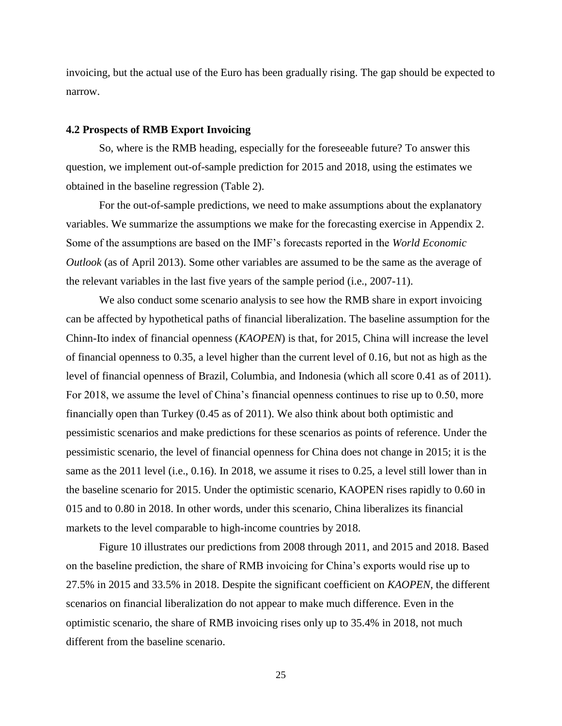invoicing, but the actual use of the Euro has been gradually rising. The gap should be expected to narrow.

#### **4.2 Prospects of RMB Export Invoicing**

So, where is the RMB heading, especially for the foreseeable future? To answer this question, we implement out-of-sample prediction for 2015 and 2018, using the estimates we obtained in the baseline regression (Table 2).

For the out-of-sample predictions, we need to make assumptions about the explanatory variables. We summarize the assumptions we make for the forecasting exercise in Appendix 2. Some of the assumptions are based on the IMF's forecasts reported in the *World Economic Outlook* (as of April 2013). Some other variables are assumed to be the same as the average of the relevant variables in the last five years of the sample period (i.e., 2007-11).

We also conduct some scenario analysis to see how the RMB share in export invoicing can be affected by hypothetical paths of financial liberalization. The baseline assumption for the Chinn-Ito index of financial openness (*KAOPEN*) is that, for 2015, China will increase the level of financial openness to 0.35, a level higher than the current level of 0.16, but not as high as the level of financial openness of Brazil, Columbia, and Indonesia (which all score 0.41 as of 2011). For 2018, we assume the level of China's financial openness continues to rise up to 0.50, more financially open than Turkey (0.45 as of 2011). We also think about both optimistic and pessimistic scenarios and make predictions for these scenarios as points of reference. Under the pessimistic scenario, the level of financial openness for China does not change in 2015; it is the same as the 2011 level (i.e., 0.16). In 2018, we assume it rises to 0.25, a level still lower than in the baseline scenario for 2015. Under the optimistic scenario, KAOPEN rises rapidly to 0.60 in 015 and to 0.80 in 2018. In other words, under this scenario, China liberalizes its financial markets to the level comparable to high-income countries by 2018.

Figure 10 illustrates our predictions from 2008 through 2011, and 2015 and 2018. Based on the baseline prediction, the share of RMB invoicing for China's exports would rise up to 27.5% in 2015 and 33.5% in 2018. Despite the significant coefficient on *KAOPEN*, the different scenarios on financial liberalization do not appear to make much difference. Even in the optimistic scenario, the share of RMB invoicing rises only up to 35.4% in 2018, not much different from the baseline scenario.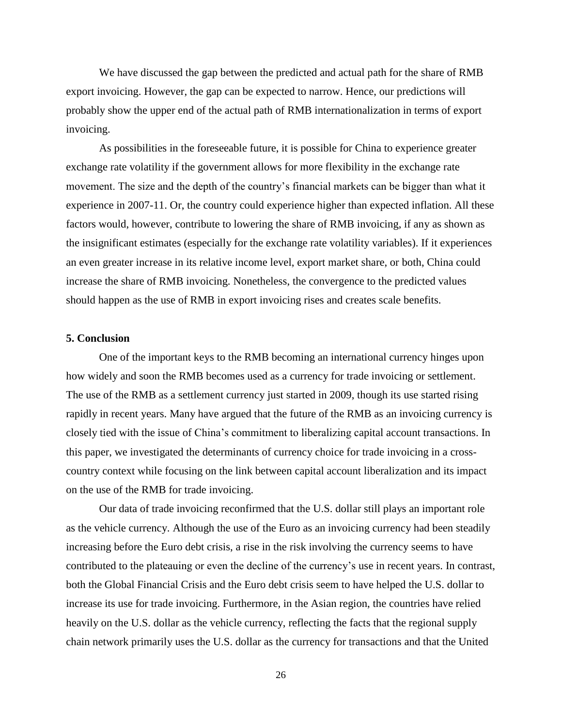We have discussed the gap between the predicted and actual path for the share of RMB export invoicing. However, the gap can be expected to narrow. Hence, our predictions will probably show the upper end of the actual path of RMB internationalization in terms of export invoicing.

As possibilities in the foreseeable future, it is possible for China to experience greater exchange rate volatility if the government allows for more flexibility in the exchange rate movement. The size and the depth of the country's financial markets can be bigger than what it experience in 2007-11. Or, the country could experience higher than expected inflation. All these factors would, however, contribute to lowering the share of RMB invoicing, if any as shown as the insignificant estimates (especially for the exchange rate volatility variables). If it experiences an even greater increase in its relative income level, export market share, or both, China could increase the share of RMB invoicing. Nonetheless, the convergence to the predicted values should happen as the use of RMB in export invoicing rises and creates scale benefits.

# **5. Conclusion**

One of the important keys to the RMB becoming an international currency hinges upon how widely and soon the RMB becomes used as a currency for trade invoicing or settlement. The use of the RMB as a settlement currency just started in 2009, though its use started rising rapidly in recent years. Many have argued that the future of the RMB as an invoicing currency is closely tied with the issue of China's commitment to liberalizing capital account transactions. In this paper, we investigated the determinants of currency choice for trade invoicing in a crosscountry context while focusing on the link between capital account liberalization and its impact on the use of the RMB for trade invoicing.

Our data of trade invoicing reconfirmed that the U.S. dollar still plays an important role as the vehicle currency. Although the use of the Euro as an invoicing currency had been steadily increasing before the Euro debt crisis, a rise in the risk involving the currency seems to have contributed to the plateauing or even the decline of the currency's use in recent years. In contrast, both the Global Financial Crisis and the Euro debt crisis seem to have helped the U.S. dollar to increase its use for trade invoicing. Furthermore, in the Asian region, the countries have relied heavily on the U.S. dollar as the vehicle currency, reflecting the facts that the regional supply chain network primarily uses the U.S. dollar as the currency for transactions and that the United

26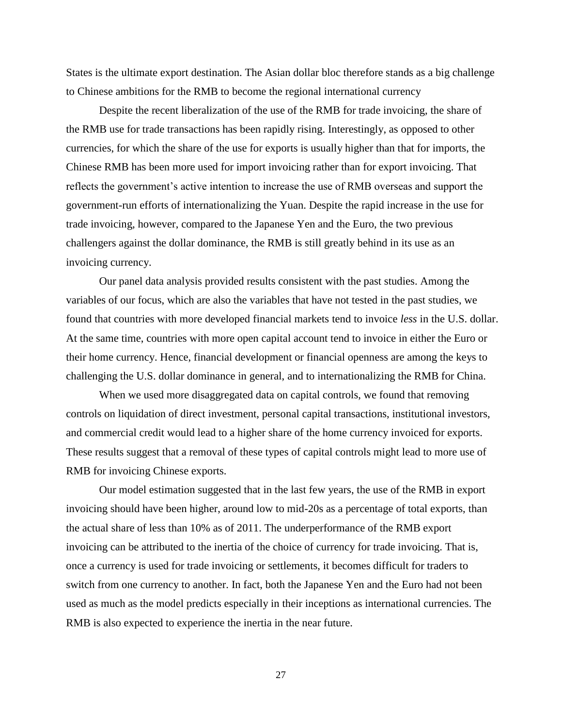States is the ultimate export destination. The Asian dollar bloc therefore stands as a big challenge to Chinese ambitions for the RMB to become the regional international currency

Despite the recent liberalization of the use of the RMB for trade invoicing, the share of the RMB use for trade transactions has been rapidly rising. Interestingly, as opposed to other currencies, for which the share of the use for exports is usually higher than that for imports, the Chinese RMB has been more used for import invoicing rather than for export invoicing. That reflects the government's active intention to increase the use of RMB overseas and support the government-run efforts of internationalizing the Yuan. Despite the rapid increase in the use for trade invoicing, however, compared to the Japanese Yen and the Euro, the two previous challengers against the dollar dominance, the RMB is still greatly behind in its use as an invoicing currency.

Our panel data analysis provided results consistent with the past studies. Among the variables of our focus, which are also the variables that have not tested in the past studies, we found that countries with more developed financial markets tend to invoice *less* in the U.S. dollar. At the same time, countries with more open capital account tend to invoice in either the Euro or their home currency. Hence, financial development or financial openness are among the keys to challenging the U.S. dollar dominance in general, and to internationalizing the RMB for China.

When we used more disaggregated data on capital controls, we found that removing controls on liquidation of direct investment, personal capital transactions, institutional investors, and commercial credit would lead to a higher share of the home currency invoiced for exports. These results suggest that a removal of these types of capital controls might lead to more use of RMB for invoicing Chinese exports.

Our model estimation suggested that in the last few years, the use of the RMB in export invoicing should have been higher, around low to mid-20s as a percentage of total exports, than the actual share of less than 10% as of 2011. The underperformance of the RMB export invoicing can be attributed to the inertia of the choice of currency for trade invoicing. That is, once a currency is used for trade invoicing or settlements, it becomes difficult for traders to switch from one currency to another. In fact, both the Japanese Yen and the Euro had not been used as much as the model predicts especially in their inceptions as international currencies. The RMB is also expected to experience the inertia in the near future.

27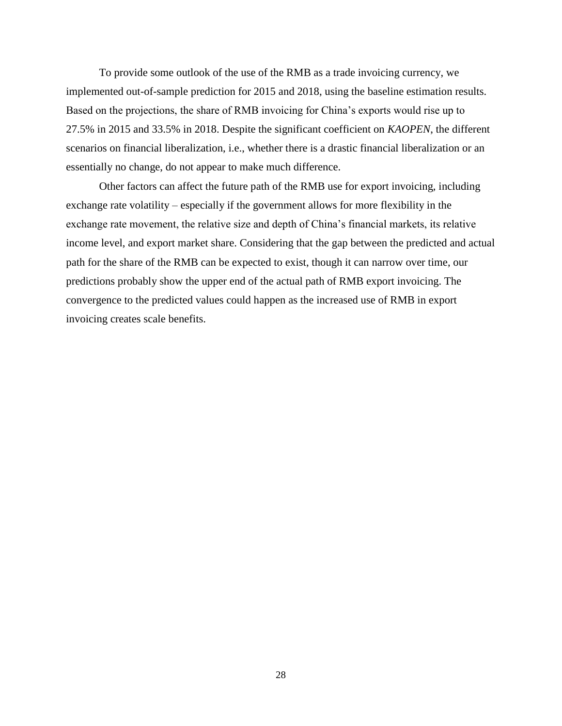To provide some outlook of the use of the RMB as a trade invoicing currency, we implemented out-of-sample prediction for 2015 and 2018, using the baseline estimation results. Based on the projections, the share of RMB invoicing for China's exports would rise up to 27.5% in 2015 and 33.5% in 2018. Despite the significant coefficient on *KAOPEN*, the different scenarios on financial liberalization, i.e., whether there is a drastic financial liberalization or an essentially no change, do not appear to make much difference.

Other factors can affect the future path of the RMB use for export invoicing, including exchange rate volatility – especially if the government allows for more flexibility in the exchange rate movement, the relative size and depth of China's financial markets, its relative income level, and export market share. Considering that the gap between the predicted and actual path for the share of the RMB can be expected to exist, though it can narrow over time, our predictions probably show the upper end of the actual path of RMB export invoicing. The convergence to the predicted values could happen as the increased use of RMB in export invoicing creates scale benefits.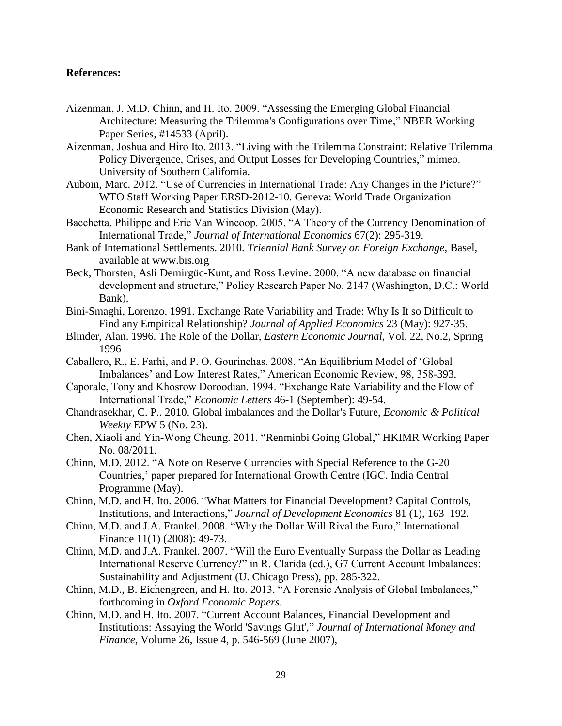# **References:**

- Aizenman, J. M.D. Chinn, and H. Ito. 2009. "Assessing the Emerging Global Financial Architecture: Measuring the Trilemma's Configurations over Time," NBER Working Paper Series, #14533 (April).
- Aizenman, Joshua and Hiro Ito. 2013. "Living with the Trilemma Constraint: Relative Trilemma Policy Divergence, Crises, and Output Losses for Developing Countries," mimeo. University of Southern California.
- Auboin, Marc. 2012. "Use of Currencies in International Trade: Any Changes in the Picture?" WTO Staff Working Paper ERSD-2012-10. Geneva: World Trade Organization Economic Research and Statistics Division (May).
- Bacchetta, Philippe and Eric Van Wincoop. 2005. "A Theory of the Currency Denomination of International Trade," *Journal of International Economics* 67(2): 295-319.
- Bank of International Settlements. 2010. *Triennial Bank Survey on Foreign Exchange*, Basel, available at www.bis.org
- Beck, Thorsten, Asli Demirgüc-Kunt, and Ross Levine. 2000. "A new database on financial development and structure," Policy Research Paper No. 2147 (Washington, D.C.: World Bank).
- Bini-Smaghi, Lorenzo. 1991. Exchange Rate Variability and Trade: Why Is It so Difficult to Find any Empirical Relationship? *Journal of Applied Economics* 23 (May): 927-35.
- Blinder, Alan. 1996. The Role of the Dollar, *Eastern Economic Journal*, Vol. 22, No.2, Spring 1996
- Caballero, R., E. Farhi, and P. O. Gourinchas. 2008. "An Equilibrium Model of 'Global Imbalances' and Low Interest Rates," American Economic Review, 98, 358-393.
- Caporale, Tony and Khosrow Doroodian. 1994. "Exchange Rate Variability and the Flow of International Trade," *Economic Letters* 46-1 (September): 49-54.
- Chandrasekhar, C. P.. 2010. Global imbalances and the Dollar's Future, *Economic & Political Weekly* EPW 5 (No. 23).
- Chen, Xiaoli and Yin-Wong Cheung. 2011. "Renminbi Going Global," HKIMR Working Paper No. 08/2011.
- Chinn, M.D. 2012. "A Note on Reserve Currencies with Special Reference to the G-20 Countries,' paper prepared for International Growth Centre (IGC. India Central Programme (May).
- Chinn, M.D. and H. Ito. 2006. "What Matters for Financial Development? Capital Controls, Institutions, and Interactions," *Journal of Development Economics* 81 (1), 163–192.
- Chinn, M.D. and J.A. Frankel. 2008. "Why the Dollar Will Rival the Euro," International Finance 11(1) (2008): 49-73.
- Chinn, M.D. and J.A. Frankel. 2007. "Will the Euro Eventually Surpass the Dollar as Leading International Reserve Currency?" in R. Clarida (ed.), G7 Current Account Imbalances: Sustainability and Adjustment (U. Chicago Press), pp. 285-322.
- Chinn, M.D., B. Eichengreen, and H. Ito. 2013. "A Forensic Analysis of Global Imbalances," forthcoming in *Oxford Economic Papers.*
- Chinn, M.D. and H. Ito. 2007. "Current Account Balances, Financial Development and Institutions: Assaying the World 'Savings Glut'," *Journal of International Money and Finance*, Volume 26, Issue 4, p. 546-569 (June 2007),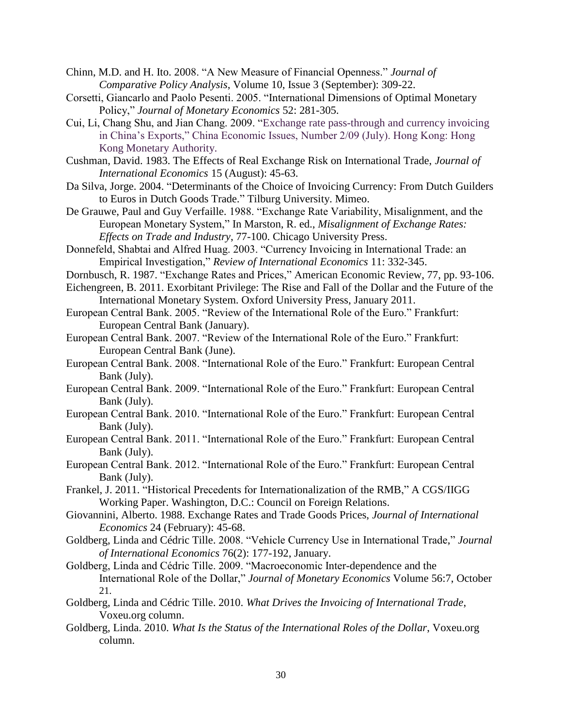Chinn, M.D. and H. Ito. 2008. "A New Measure of Financial Openness." *Journal of Comparative Policy Analysis*, Volume 10, Issue 3 (September): 309-22.

Corsetti, Giancarlo and Paolo Pesenti. 2005. "International Dimensions of Optimal Monetary Policy," *Journal of Monetary Economics* 52: 281-305.

Cui, Li, Chang Shu, and Jian Chang. 2009. "Exchange rate pass-through and currency invoicing in China's Exports," China Economic Issues, Number 2/09 (July). Hong Kong: Hong Kong Monetary Authority.

Cushman, David. 1983. The Effects of Real Exchange Risk on International Trade, *Journal of International Economics* 15 (August): 45-63.

Da Silva, Jorge. 2004. "Determinants of the Choice of Invoicing Currency: From Dutch Guilders to Euros in Dutch Goods Trade." Tilburg University. Mimeo.

De Grauwe, Paul and Guy Verfaille. 1988. "Exchange Rate Variability, Misalignment, and the European Monetary System," In Marston, R. ed., *Misalignment of Exchange Rates: Effects on Trade and Industry*, 77-100. Chicago University Press.

- Donnefeld, Shabtai and Alfred Huag. 2003. "Currency Invoicing in International Trade: an Empirical Investigation," *Review of International Economics* 11: 332-345.
- Dornbusch, R. 1987. "Exchange Rates and Prices," American Economic Review, 77, pp. 93-106.
- Eichengreen, B. 2011. Exorbitant Privilege: The Rise and Fall of the Dollar and the Future of the International Monetary System. Oxford University Press, January 2011.
- European Central Bank. 2005. "Review of the International Role of the Euro." Frankfurt: European Central Bank (January).
- European Central Bank. 2007. "Review of the International Role of the Euro." Frankfurt: European Central Bank (June).
- European Central Bank. 2008. "International Role of the Euro." Frankfurt: European Central Bank (July).
- European Central Bank. 2009. "International Role of the Euro." Frankfurt: European Central Bank (July).
- European Central Bank. 2010. "International Role of the Euro." Frankfurt: European Central Bank (July).
- European Central Bank. 2011. "International Role of the Euro." Frankfurt: European Central Bank (July).
- European Central Bank. 2012. "International Role of the Euro." Frankfurt: European Central Bank (July).
- Frankel, J. 2011. "Historical Precedents for Internationalization of the RMB," A CGS/IIGG Working Paper. Washington, D.C.: Council on Foreign Relations.
- Giovannini, Alberto. 1988. Exchange Rates and Trade Goods Prices, *Journal of International Economics* 24 (February): 45-68.
- Goldberg, Linda and Cédric Tille. 2008. "Vehicle Currency Use in International Trade," *Journal of International Economics* 76(2): 177-192, January.
- Goldberg, Linda and Cédric Tille. 2009. "Macroeconomic Inter-dependence and the International Role of the Dollar," *Journal of Monetary Economics* Volume 56:7, October 21.
- Goldberg, Linda and Cédric Tille. 2010. *What Drives the Invoicing of International Trade*, Voxeu.org column.
- Goldberg, Linda. 2010. *What Is the Status of the International Roles of the Dollar*, Voxeu.org column.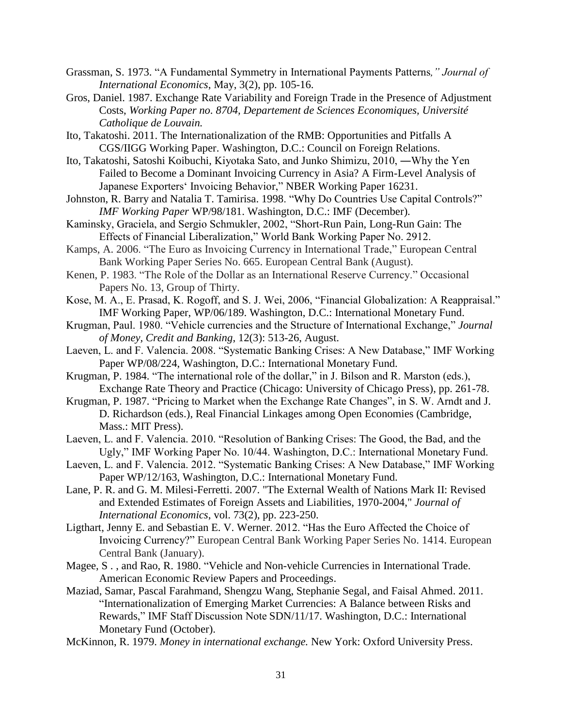- Grassman, S. 1973. "A Fundamental Symmetry in International Payments Patterns*," Journal of International Economics*, May, 3(2), pp. 105-16.
- Gros, Daniel. 1987. Exchange Rate Variability and Foreign Trade in the Presence of Adjustment Costs, *Working Paper no. 8704, Departement de Sciences Economiques, Université Catholique de Louvain.*
- Ito, Takatoshi. 2011. The Internationalization of the RMB: Opportunities and Pitfalls A CGS/IIGG Working Paper. Washington, D.C.: Council on Foreign Relations.
- Ito, Takatoshi, Satoshi Koibuchi, Kiyotaka Sato, and Junko Shimizu, 2010, ―Why the Yen Failed to Become a Dominant Invoicing Currency in Asia? A Firm-Level Analysis of Japanese Exporters' Invoicing Behavior," NBER Working Paper 16231.
- Johnston, R. Barry and Natalia T. Tamirisa. 1998. "Why Do Countries Use Capital Controls?" *IMF Working Paper* WP/98/181. Washington, D.C.: IMF (December).
- Kaminsky, Graciela, and Sergio Schmukler, 2002, "Short-Run Pain, Long-Run Gain: The Effects of Financial Liberalization," World Bank Working Paper No. 2912.
- Kamps, A. 2006. "The Euro as Invoicing Currency in International Trade," European Central Bank Working Paper Series No. 665. European Central Bank (August).
- Kenen, P. 1983. "The Role of the Dollar as an International Reserve Currency." Occasional Papers No. 13, Group of Thirty.
- Kose, M. A., E. Prasad, K. Rogoff, and S. J. Wei, 2006, "Financial Globalization: A Reappraisal." IMF Working Paper, WP/06/189. Washington, D.C.: International Monetary Fund.
- Krugman, Paul. 1980. "Vehicle currencies and the Structure of International Exchange," *Journal of Money, Credit and Banking*, 12(3): 513-26, August.
- Laeven, L. and F. Valencia. 2008. "Systematic Banking Crises: A New Database," IMF Working Paper WP/08/224, Washington, D.C.: International Monetary Fund.
- Krugman, P. 1984. "The international role of the dollar," in J. Bilson and R. Marston (eds.), Exchange Rate Theory and Practice (Chicago: University of Chicago Press), pp. 261-78.
- Krugman, P. 1987. "Pricing to Market when the Exchange Rate Changes", in S. W. Arndt and J. D. Richardson (eds.), Real Financial Linkages among Open Economies (Cambridge, Mass.: MIT Press).
- Laeven, L. and F. Valencia. 2010. "Resolution of Banking Crises: The Good, the Bad, and the Ugly," IMF Working Paper No. 10/44. Washington, D.C.: International Monetary Fund.
- Laeven, L. and F. Valencia. 2012. "Systematic Banking Crises: A New Database," IMF Working Paper WP/12/163, Washington, D.C.: International Monetary Fund.
- Lane, P. R. and G. M. Milesi-Ferretti. 2007. "The External Wealth of Nations Mark II: Revised and Extended Estimates of Foreign Assets and Liabilities, 1970-2004," *Journal of International Economics*, vol. 73(2), pp. 223-250.
- Ligthart, Jenny E. and Sebastian E. V. Werner. 2012. "Has the Euro Affected the Choice of Invoicing Currency?" European Central Bank Working Paper Series No. 1414. European Central Bank (January).
- Magee, S . , and Rao, R. 1980. "Vehicle and Non-vehicle Currencies in International Trade. American Economic Review Papers and Proceedings.
- Maziad, Samar, Pascal Farahmand, Shengzu Wang, Stephanie Segal, and Faisal Ahmed. 2011. "Internationalization of Emerging Market Currencies: A Balance between Risks and Rewards," IMF Staff Discussion Note SDN/11/17. Washington, D.C.: International Monetary Fund (October).
- McKinnon, R. 1979. *Money in international exchange.* New York: Oxford University Press.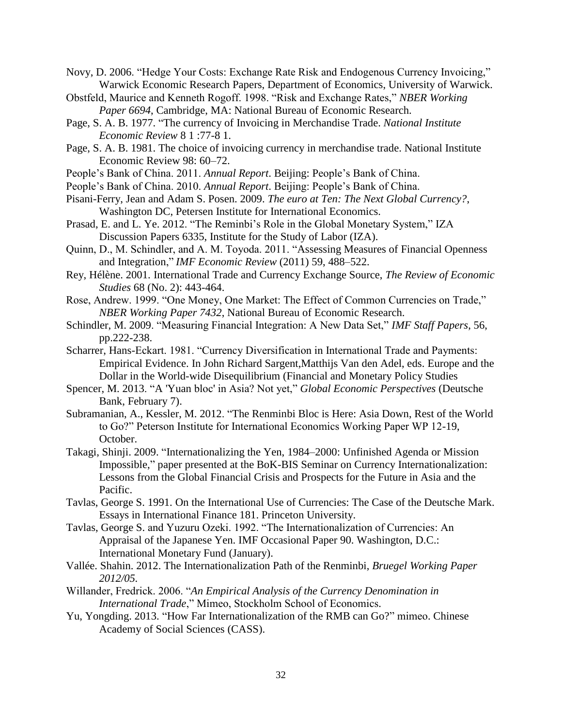Novy, D. 2006. "Hedge Your Costs: Exchange Rate Risk and Endogenous Currency Invoicing," Warwick Economic Research Papers, Department of Economics, University of Warwick.

- Obstfeld, Maurice and Kenneth Rogoff. 1998. "Risk and Exchange Rates," *NBER Working Paper 6694*, Cambridge, MA: National Bureau of Economic Research.
- Page, S. A. B. 1977. "The currency of Invoicing in Merchandise Trade. *National Institute Economic Review* 8 1 :77-8 1.
- Page, S. A. B. 1981. The choice of invoicing currency in merchandise trade. National Institute Economic Review 98: 60–72.
- People's Bank of China. 2011. *Annual Report*. Beijing: People's Bank of China.
- People's Bank of China. 2010. *Annual Report*. Beijing: People's Bank of China.
- Pisani-Ferry, Jean and Adam S. Posen. 2009. *The euro at Ten: The Next Global Currency?*, Washington DC, Petersen Institute for International Economics.
- Prasad, E. and L. Ye. 2012. "The Reminbi's Role in the Global Monetary System," IZA Discussion Papers 6335, Institute for the Study of Labor (IZA).
- Quinn, D., M. Schindler, and A. M. Toyoda. 2011. "Assessing Measures of Financial Openness and Integration," *IMF Economic Review* (2011) 59, 488–522.
- Rey, Hélène. 2001. International Trade and Currency Exchange Source, *The Review of Economic Studies* 68 (No. 2): 443-464.
- Rose, Andrew. 1999. "One Money, One Market: The Effect of Common Currencies on Trade," *NBER Working Paper 7432*, National Bureau of Economic Research.
- Schindler, M. 2009. "Measuring Financial Integration: A New Data Set," *IMF Staff Papers*, 56, pp.222-238.
- Scharrer, Hans-Eckart. 1981. "Currency Diversification in International Trade and Payments: Empirical Evidence. In John Richard Sargent,Matthijs Van den Adel, eds. Europe and the Dollar in the World-wide Disequilibrium (Financial and Monetary Policy Studies
- Spencer, M. 2013. "A 'Yuan bloc' in Asia? Not yet," *Global Economic Perspectives* (Deutsche Bank, February 7).
- Subramanian, A., Kessler, M. 2012. "The Renminbi Bloc is Here: Asia Down, Rest of the World to Go?" Peterson Institute for International Economics Working Paper WP 12-19, October.
- Takagi, Shinji. 2009. "Internationalizing the Yen, 1984–2000: Unfinished Agenda or Mission Impossible," paper presented at the BoK-BIS Seminar on Currency Internationalization: Lessons from the Global Financial Crisis and Prospects for the Future in Asia and the Pacific.
- Tavlas, George S. 1991. On the International Use of Currencies: The Case of the Deutsche Mark. Essays in International Finance 181. Princeton University.
- Tavlas, George S. and Yuzuru Ozeki. 1992. "The Internationalization of Currencies: An Appraisal of the Japanese Yen. IMF Occasional Paper 90. Washington, D.C.: International Monetary Fund (January).
- Vallée. Shahin. 2012. The Internationalization Path of the Renminbi, *Bruegel Working Paper 2012/05.*
- Willander, Fredrick. 2006. "*An Empirical Analysis of the Currency Denomination in International Trade*," Mimeo, Stockholm School of Economics.
- Yu, Yongding. 2013. "How Far Internationalization of the RMB can Go?" mimeo. Chinese Academy of Social Sciences (CASS).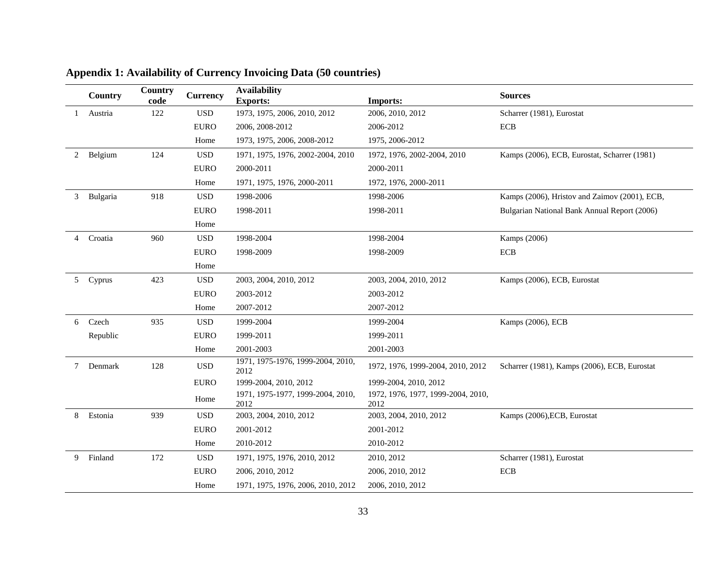|   | Country   | Country<br>code | <b>Currency</b> | <b>Availability</b><br><b>Exports:</b>    | <b>Imports:</b>                            | <b>Sources</b>                                |
|---|-----------|-----------------|-----------------|-------------------------------------------|--------------------------------------------|-----------------------------------------------|
|   | Austria   | 122             | <b>USD</b>      | 1973, 1975, 2006, 2010, 2012              | 2006, 2010, 2012                           | Scharrer (1981), Eurostat                     |
|   |           |                 | <b>EURO</b>     | 2006, 2008-2012                           | 2006-2012                                  | <b>ECB</b>                                    |
|   |           |                 | Home            | 1973, 1975, 2006, 2008-2012               | 1975, 2006-2012                            |                                               |
| 2 | Belgium   | 124             | <b>USD</b>      | 1971, 1975, 1976, 2002-2004, 2010         | 1972, 1976, 2002-2004, 2010                | Kamps (2006), ECB, Eurostat, Scharrer (1981)  |
|   |           |                 | <b>EURO</b>     | 2000-2011                                 | 2000-2011                                  |                                               |
|   |           |                 | Home            | 1971, 1975, 1976, 2000-2011               | 1972, 1976, 2000-2011                      |                                               |
| 3 | Bulgaria  | 918             | <b>USD</b>      | 1998-2006                                 | 1998-2006                                  | Kamps (2006), Hristov and Zaimov (2001), ECB, |
|   |           |                 | <b>EURO</b>     | 1998-2011                                 | 1998-2011                                  | Bulgarian National Bank Annual Report (2006)  |
|   |           |                 | Home            |                                           |                                            |                                               |
|   | 4 Croatia | 960             | <b>USD</b>      | 1998-2004                                 | 1998-2004                                  | Kamps (2006)                                  |
|   |           |                 | <b>EURO</b>     | 1998-2009                                 | 1998-2009                                  | <b>ECB</b>                                    |
|   |           |                 | Home            |                                           |                                            |                                               |
|   | 5 Cyprus  | 423             | <b>USD</b>      | 2003, 2004, 2010, 2012                    | 2003, 2004, 2010, 2012                     | Kamps (2006), ECB, Eurostat                   |
|   |           |                 | <b>EURO</b>     | 2003-2012                                 | 2003-2012                                  |                                               |
|   |           |                 | Home            | 2007-2012                                 | 2007-2012                                  |                                               |
| 6 | Czech     | 935             | <b>USD</b>      | 1999-2004                                 | 1999-2004                                  | Kamps (2006), ECB                             |
|   | Republic  |                 | <b>EURO</b>     | 1999-2011                                 | 1999-2011                                  |                                               |
|   |           |                 | Home            | 2001-2003                                 | 2001-2003                                  |                                               |
| 7 | Denmark   | 128             | <b>USD</b>      | 1971, 1975-1976, 1999-2004, 2010,<br>2012 | 1972, 1976, 1999-2004, 2010, 2012          | Scharrer (1981), Kamps (2006), ECB, Eurostat  |
|   |           |                 | <b>EURO</b>     | 1999-2004, 2010, 2012                     | 1999-2004, 2010, 2012                      |                                               |
|   |           |                 | Home            | 1971, 1975-1977, 1999-2004, 2010,<br>2012 | 1972, 1976, 1977, 1999-2004, 2010,<br>2012 |                                               |
| 8 | Estonia   | 939             | <b>USD</b>      | 2003, 2004, 2010, 2012                    | 2003, 2004, 2010, 2012                     | Kamps (2006), ECB, Eurostat                   |
|   |           |                 | <b>EURO</b>     | 2001-2012                                 | 2001-2012                                  |                                               |
|   |           |                 | Home            | 2010-2012                                 | 2010-2012                                  |                                               |
| 9 | Finland   | 172             | <b>USD</b>      | 1971, 1975, 1976, 2010, 2012              | 2010, 2012                                 | Scharrer (1981), Eurostat                     |
|   |           |                 | <b>EURO</b>     | 2006, 2010, 2012                          | 2006, 2010, 2012                           | <b>ECB</b>                                    |
|   |           |                 | Home            | 1971, 1975, 1976, 2006, 2010, 2012        | 2006, 2010, 2012                           |                                               |

# **Appendix 1: Availability of Currency Invoicing Data (50 countries)**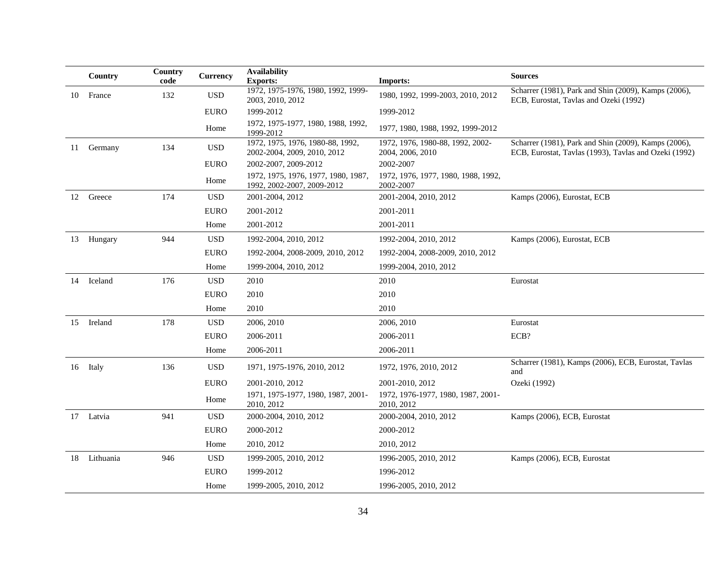|    | Country    | Country<br>code | <b>Currency</b> | <b>Availability</b><br><b>Exports:</b>                            | <b>Imports:</b>                                      | <b>Sources</b>                                                                                                |
|----|------------|-----------------|-----------------|-------------------------------------------------------------------|------------------------------------------------------|---------------------------------------------------------------------------------------------------------------|
| 10 | France     | 132             | <b>USD</b>      | 1972, 1975-1976, 1980, 1992, 1999-<br>2003, 2010, 2012            | 1980, 1992, 1999-2003, 2010, 2012                    | Scharrer (1981), Park and Shin (2009), Kamps (2006),<br>ECB, Eurostat, Tavlas and Ozeki (1992)                |
|    |            |                 | <b>EURO</b>     | 1999-2012                                                         | 1999-2012                                            |                                                                                                               |
|    |            |                 | Home            | 1972, 1975-1977, 1980, 1988, 1992,<br>1999-2012                   | 1977, 1980, 1988, 1992, 1999-2012                    |                                                                                                               |
| 11 | Germany    | 134             | <b>USD</b>      | 1972, 1975, 1976, 1980-88, 1992,<br>2002-2004, 2009, 2010, 2012   | 1972, 1976, 1980-88, 1992, 2002-<br>2004, 2006, 2010 | Scharrer (1981), Park and Shin (2009), Kamps (2006),<br>ECB, Eurostat, Tavlas (1993), Tavlas and Ozeki (1992) |
|    |            |                 | <b>EURO</b>     | 2002-2007, 2009-2012                                              | 2002-2007                                            |                                                                                                               |
|    |            |                 | Home            | 1972, 1975, 1976, 1977, 1980, 1987,<br>1992, 2002-2007, 2009-2012 | 1972, 1976, 1977, 1980, 1988, 1992,<br>2002-2007     |                                                                                                               |
|    | 12 Greece  | 174             | <b>USD</b>      | 2001-2004, 2012                                                   | 2001-2004, 2010, 2012                                | Kamps (2006), Eurostat, ECB                                                                                   |
|    |            |                 | <b>EURO</b>     | 2001-2012                                                         | 2001-2011                                            |                                                                                                               |
|    |            |                 | Home            | 2001-2012                                                         | 2001-2011                                            |                                                                                                               |
|    | 13 Hungary | 944             | <b>USD</b>      | 1992-2004, 2010, 2012                                             | 1992-2004, 2010, 2012                                | Kamps (2006), Eurostat, ECB                                                                                   |
|    |            |                 | <b>EURO</b>     | 1992-2004, 2008-2009, 2010, 2012                                  | 1992-2004, 2008-2009, 2010, 2012                     |                                                                                                               |
|    |            |                 | Home            | 1999-2004, 2010, 2012                                             | 1999-2004, 2010, 2012                                |                                                                                                               |
| 14 | Iceland    | 176             | <b>USD</b>      | 2010                                                              | 2010                                                 | Eurostat                                                                                                      |
|    |            |                 | <b>EURO</b>     | 2010                                                              | 2010                                                 |                                                                                                               |
|    |            |                 | Home            | 2010                                                              | 2010                                                 |                                                                                                               |
|    | 15 Ireland | 178             | <b>USD</b>      | 2006, 2010                                                        | 2006, 2010                                           | Eurostat                                                                                                      |
|    |            |                 | <b>EURO</b>     | 2006-2011                                                         | 2006-2011                                            | ECB?                                                                                                          |
|    |            |                 | Home            | 2006-2011                                                         | 2006-2011                                            |                                                                                                               |
|    | 16 Italy   | 136             | <b>USD</b>      | 1971, 1975-1976, 2010, 2012                                       | 1972, 1976, 2010, 2012                               | Scharrer (1981), Kamps (2006), ECB, Eurostat, Tavlas<br>and                                                   |
|    |            |                 | <b>EURO</b>     | 2001-2010, 2012                                                   | 2001-2010, 2012                                      | Ozeki (1992)                                                                                                  |
|    |            |                 | Home            | 1971, 1975-1977, 1980, 1987, 2001-<br>2010, 2012                  | 1972, 1976-1977, 1980, 1987, 2001-<br>2010, 2012     |                                                                                                               |
|    | 17 Latvia  | 941             | <b>USD</b>      | 2000-2004, 2010, 2012                                             | 2000-2004, 2010, 2012                                | Kamps (2006), ECB, Eurostat                                                                                   |
|    |            |                 | <b>EURO</b>     | 2000-2012                                                         | 2000-2012                                            |                                                                                                               |
|    |            |                 | Home            | 2010, 2012                                                        | 2010, 2012                                           |                                                                                                               |
| 18 | Lithuania  | 946             | <b>USD</b>      | 1999-2005, 2010, 2012                                             | 1996-2005, 2010, 2012                                | Kamps (2006), ECB, Eurostat                                                                                   |
|    |            |                 | <b>EURO</b>     | 1999-2012                                                         | 1996-2012                                            |                                                                                                               |
|    |            |                 | Home            | 1999-2005, 2010, 2012                                             | 1996-2005, 2010, 2012                                |                                                                                                               |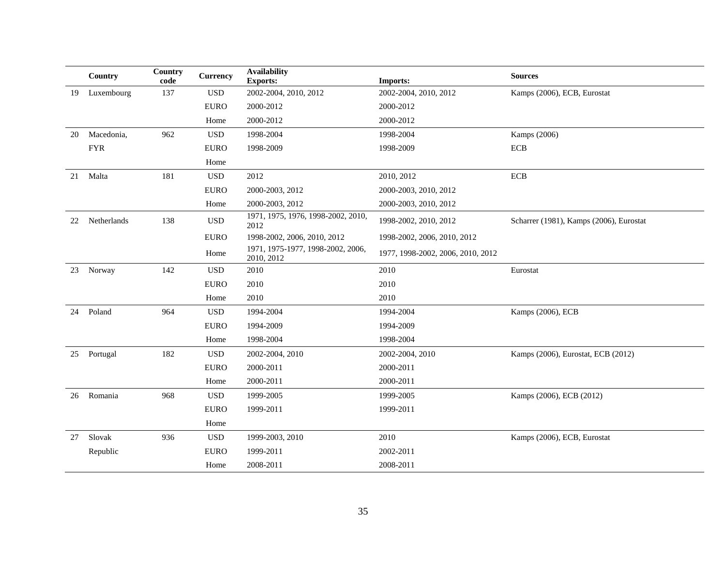|    | Country     | Country<br>code | <b>Currency</b> | <b>Availability</b><br><b>Exports:</b>          | <b>Imports:</b>                   | <b>Sources</b>                          |
|----|-------------|-----------------|-----------------|-------------------------------------------------|-----------------------------------|-----------------------------------------|
| 19 | Luxembourg  | 137             | <b>USD</b>      | 2002-2004, 2010, 2012                           | 2002-2004, 2010, 2012             | Kamps (2006), ECB, Eurostat             |
|    |             |                 | <b>EURO</b>     | 2000-2012                                       | 2000-2012                         |                                         |
|    |             |                 | Home            | 2000-2012                                       | 2000-2012                         |                                         |
| 20 | Macedonia,  | 962             | <b>USD</b>      | 1998-2004                                       | 1998-2004                         | Kamps (2006)                            |
|    | ${\rm FYR}$ |                 | <b>EURO</b>     | 1998-2009                                       | 1998-2009                         | $\ensuremath{\text{ECB}}$               |
|    |             |                 | Home            |                                                 |                                   |                                         |
| 21 | Malta       | 181             | <b>USD</b>      | 2012                                            | 2010, 2012                        | $\rm ECB$                               |
|    |             |                 | <b>EURO</b>     | 2000-2003, 2012                                 | 2000-2003, 2010, 2012             |                                         |
|    |             |                 | Home            | 2000-2003, 2012                                 | 2000-2003, 2010, 2012             |                                         |
| 22 | Netherlands | 138             | $_{\rm USD}$    | 1971, 1975, 1976, 1998-2002, 2010,<br>2012      | 1998-2002, 2010, 2012             | Scharrer (1981), Kamps (2006), Eurostat |
|    |             |                 | <b>EURO</b>     | 1998-2002, 2006, 2010, 2012                     | 1998-2002, 2006, 2010, 2012       |                                         |
|    |             |                 | Home            | 1971, 1975-1977, 1998-2002, 2006,<br>2010, 2012 | 1977, 1998-2002, 2006, 2010, 2012 |                                         |
|    | 23 Norway   | 142             | <b>USD</b>      | 2010                                            | 2010                              | Eurostat                                |
|    |             |                 | <b>EURO</b>     | 2010                                            | 2010                              |                                         |
|    |             |                 | Home            | 2010                                            | 2010                              |                                         |
| 24 | Poland      | 964             | <b>USD</b>      | 1994-2004                                       | 1994-2004                         | Kamps (2006), ECB                       |
|    |             |                 | <b>EURO</b>     | 1994-2009                                       | 1994-2009                         |                                         |
|    |             |                 | Home            | 1998-2004                                       | 1998-2004                         |                                         |
|    | 25 Portugal | 182             | <b>USD</b>      | 2002-2004, 2010                                 | 2002-2004, 2010                   | Kamps (2006), Eurostat, ECB (2012)      |
|    |             |                 | <b>EURO</b>     | 2000-2011                                       | 2000-2011                         |                                         |
|    |             |                 | Home            | 2000-2011                                       | 2000-2011                         |                                         |
| 26 | Romania     | 968             | <b>USD</b>      | 1999-2005                                       | 1999-2005                         | Kamps (2006), ECB (2012)                |
|    |             |                 | <b>EURO</b>     | 1999-2011                                       | 1999-2011                         |                                         |
|    |             |                 | Home            |                                                 |                                   |                                         |
| 27 | Slovak      | 936             | <b>USD</b>      | 1999-2003, 2010                                 | 2010                              | Kamps (2006), ECB, Eurostat             |
|    | Republic    |                 | <b>EURO</b>     | 1999-2011                                       | 2002-2011                         |                                         |
|    |             |                 | Home            | 2008-2011                                       | 2008-2011                         |                                         |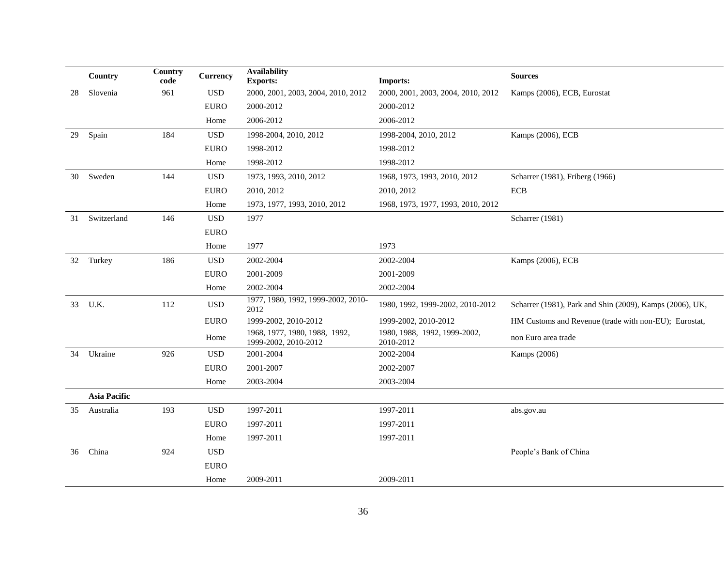|    | Country             | Country<br>code | Currency    | <b>Availability</b><br><b>Exports:</b>                | <b>Imports:</b>                           | <b>Sources</b>                                           |
|----|---------------------|-----------------|-------------|-------------------------------------------------------|-------------------------------------------|----------------------------------------------------------|
| 28 | Slovenia            | 961             | <b>USD</b>  | 2000, 2001, 2003, 2004, 2010, 2012                    | 2000, 2001, 2003, 2004, 2010, 2012        | Kamps (2006), ECB, Eurostat                              |
|    |                     |                 | <b>EURO</b> | 2000-2012                                             | 2000-2012                                 |                                                          |
|    |                     |                 | Home        | 2006-2012                                             | 2006-2012                                 |                                                          |
| 29 | Spain               | 184             | <b>USD</b>  | 1998-2004, 2010, 2012                                 | 1998-2004, 2010, 2012                     | Kamps (2006), ECB                                        |
|    |                     |                 | <b>EURO</b> | 1998-2012                                             | 1998-2012                                 |                                                          |
|    |                     |                 | Home        | 1998-2012                                             | 1998-2012                                 |                                                          |
| 30 | Sweden              | 144             | <b>USD</b>  | 1973, 1993, 2010, 2012                                | 1968, 1973, 1993, 2010, 2012              | Scharrer (1981), Friberg (1966)                          |
|    |                     |                 | <b>EURO</b> | 2010, 2012                                            | 2010, 2012                                | <b>ECB</b>                                               |
|    |                     |                 | Home        | 1973, 1977, 1993, 2010, 2012                          | 1968, 1973, 1977, 1993, 2010, 2012        |                                                          |
| 31 | Switzerland         | 146             | <b>USD</b>  | 1977                                                  |                                           | Scharrer (1981)                                          |
|    |                     |                 | <b>EURO</b> |                                                       |                                           |                                                          |
|    |                     |                 | Home        | 1977                                                  | 1973                                      |                                                          |
|    | 32 Turkey           | 186             | <b>USD</b>  | 2002-2004                                             | 2002-2004                                 | Kamps (2006), ECB                                        |
|    |                     |                 | <b>EURO</b> | 2001-2009                                             | 2001-2009                                 |                                                          |
|    |                     |                 | Home        | 2002-2004                                             | 2002-2004                                 |                                                          |
| 33 | U.K.                | 112             | <b>USD</b>  | 1977, 1980, 1992, 1999-2002, 2010-<br>2012            | 1980, 1992, 1999-2002, 2010-2012          | Scharrer (1981), Park and Shin (2009), Kamps (2006), UK, |
|    |                     |                 | <b>EURO</b> | 1999-2002, 2010-2012                                  | 1999-2002, 2010-2012                      | HM Customs and Revenue (trade with non-EU); Eurostat,    |
|    |                     |                 | Home        | 1968, 1977, 1980, 1988, 1992,<br>1999-2002, 2010-2012 | 1980, 1988, 1992, 1999-2002,<br>2010-2012 | non Euro area trade                                      |
| 34 | Ukraine             | 926             | <b>USD</b>  | 2001-2004                                             | 2002-2004                                 | Kamps (2006)                                             |
|    |                     |                 | <b>EURO</b> | 2001-2007                                             | 2002-2007                                 |                                                          |
|    |                     |                 | Home        | 2003-2004                                             | 2003-2004                                 |                                                          |
|    | <b>Asia Pacific</b> |                 |             |                                                       |                                           |                                                          |
| 35 | Australia           | 193             | <b>USD</b>  | 1997-2011                                             | 1997-2011                                 | abs.gov.au                                               |
|    |                     |                 | <b>EURO</b> | 1997-2011                                             | 1997-2011                                 |                                                          |
|    |                     |                 | Home        | 1997-2011                                             | 1997-2011                                 |                                                          |
| 36 | China               | 924             | <b>USD</b>  |                                                       |                                           | People's Bank of China                                   |
|    |                     |                 | <b>EURO</b> |                                                       |                                           |                                                          |
|    |                     |                 | Home        | 2009-2011                                             | 2009-2011                                 |                                                          |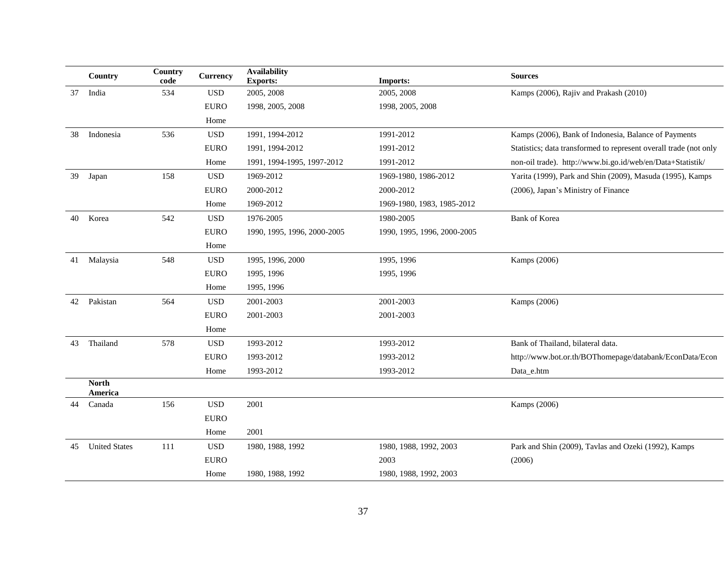|    | Country                 | Country<br>code | <b>Currency</b> | <b>Availability</b><br><b>Exports:</b> | <b>Imports:</b>             | <b>Sources</b>                                                    |
|----|-------------------------|-----------------|-----------------|----------------------------------------|-----------------------------|-------------------------------------------------------------------|
| 37 | India                   | 534             | <b>USD</b>      | 2005, 2008                             | 2005, 2008                  | Kamps (2006), Rajiv and Prakash (2010)                            |
|    |                         |                 | <b>EURO</b>     | 1998, 2005, 2008                       | 1998, 2005, 2008            |                                                                   |
|    |                         |                 | Home            |                                        |                             |                                                                   |
| 38 | Indonesia               | 536             | <b>USD</b>      | 1991, 1994-2012                        | 1991-2012                   | Kamps (2006), Bank of Indonesia, Balance of Payments              |
|    |                         |                 | <b>EURO</b>     | 1991, 1994-2012                        | 1991-2012                   | Statistics; data transformed to represent overall trade (not only |
|    |                         |                 | Home            | 1991, 1994-1995, 1997-2012             | 1991-2012                   | non-oil trade). http://www.bi.go.id/web/en/Data+Statistik/        |
| 39 | Japan                   | 158             | <b>USD</b>      | 1969-2012                              | 1969-1980, 1986-2012        | Yarita (1999), Park and Shin (2009), Masuda (1995), Kamps         |
|    |                         |                 | <b>EURO</b>     | 2000-2012                              | 2000-2012                   | (2006), Japan's Ministry of Finance                               |
|    |                         |                 | Home            | 1969-2012                              | 1969-1980, 1983, 1985-2012  |                                                                   |
| 40 | Korea                   | 542             | <b>USD</b>      | 1976-2005                              | 1980-2005                   | <b>Bank of Korea</b>                                              |
|    |                         |                 | <b>EURO</b>     | 1990, 1995, 1996, 2000-2005            | 1990, 1995, 1996, 2000-2005 |                                                                   |
|    |                         |                 | Home            |                                        |                             |                                                                   |
|    | 41 Malaysia             | 548             | <b>USD</b>      | 1995, 1996, 2000                       | 1995, 1996                  | Kamps (2006)                                                      |
|    |                         |                 | <b>EURO</b>     | 1995, 1996                             | 1995, 1996                  |                                                                   |
|    |                         |                 | Home            | 1995, 1996                             |                             |                                                                   |
| 42 | Pakistan                | 564             | <b>USD</b>      | 2001-2003                              | 2001-2003                   | Kamps (2006)                                                      |
|    |                         |                 | <b>EURO</b>     | 2001-2003                              | 2001-2003                   |                                                                   |
|    |                         |                 | Home            |                                        |                             |                                                                   |
| 43 | Thailand                | 578             | <b>USD</b>      | 1993-2012                              | 1993-2012                   | Bank of Thailand, bilateral data.                                 |
|    |                         |                 | <b>EURO</b>     | 1993-2012                              | 1993-2012                   | http://www.bot.or.th/BOThomepage/databank/EconData/Econ           |
|    |                         |                 | Home            | 1993-2012                              | 1993-2012                   | Data_e.htm                                                        |
|    | <b>North</b><br>America |                 |                 |                                        |                             |                                                                   |
| 44 | Canada                  | 156             | <b>USD</b>      | 2001                                   |                             | Kamps (2006)                                                      |
|    |                         |                 | <b>EURO</b>     |                                        |                             |                                                                   |
|    |                         |                 | Home            | 2001                                   |                             |                                                                   |
| 45 | <b>United States</b>    | 111             | <b>USD</b>      | 1980, 1988, 1992                       | 1980, 1988, 1992, 2003      | Park and Shin (2009), Tavlas and Ozeki (1992), Kamps              |
|    |                         |                 | <b>EURO</b>     |                                        | 2003                        | (2006)                                                            |
|    |                         |                 | Home            | 1980, 1988, 1992                       | 1980, 1988, 1992, 2003      |                                                                   |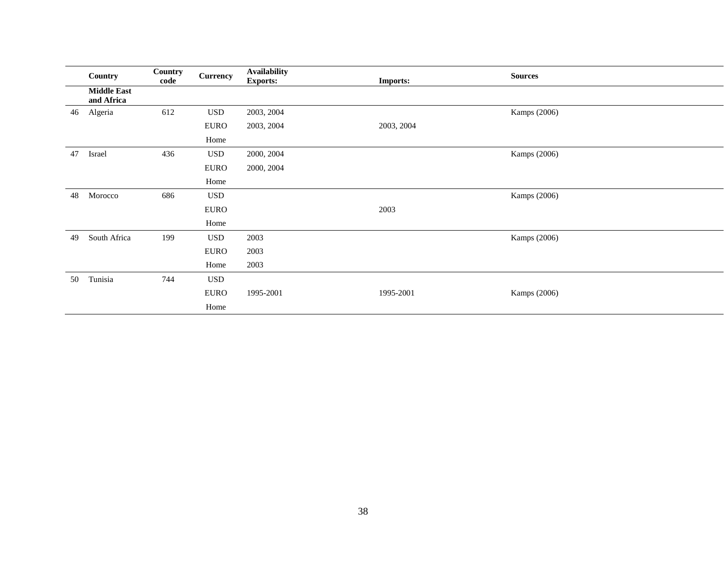|    | Country                          | Country<br>code | <b>Currency</b> | <b>Availability</b><br><b>Exports:</b> | <b>Imports:</b> | <b>Sources</b> |  |
|----|----------------------------------|-----------------|-----------------|----------------------------------------|-----------------|----------------|--|
|    | <b>Middle East</b><br>and Africa |                 |                 |                                        |                 |                |  |
| 46 | Algeria                          | 612             | <b>USD</b>      | 2003, 2004                             |                 | Kamps (2006)   |  |
|    |                                  |                 | <b>EURO</b>     | 2003, 2004                             | 2003, 2004      |                |  |
|    |                                  |                 | Home            |                                        |                 |                |  |
| 47 | Israel                           | 436             | <b>USD</b>      | 2000, 2004                             |                 | Kamps (2006)   |  |
|    |                                  |                 | <b>EURO</b>     | 2000, 2004                             |                 |                |  |
|    |                                  |                 | Home            |                                        |                 |                |  |
| 48 | Morocco                          | 686             | $_{\rm USD}$    |                                        |                 | Kamps (2006)   |  |
|    |                                  |                 | <b>EURO</b>     |                                        | 2003            |                |  |
|    |                                  |                 | Home            |                                        |                 |                |  |
| 49 | South Africa                     | 199             | <b>USD</b>      | 2003                                   |                 | Kamps (2006)   |  |
|    |                                  |                 | <b>EURO</b>     | 2003                                   |                 |                |  |
|    |                                  |                 | Home            | 2003                                   |                 |                |  |
| 50 | Tunisia                          | 744             | $_{\rm USD}$    |                                        |                 |                |  |
|    |                                  |                 | <b>EURO</b>     | 1995-2001                              | 1995-2001       | Kamps (2006)   |  |
|    |                                  |                 | Home            |                                        |                 |                |  |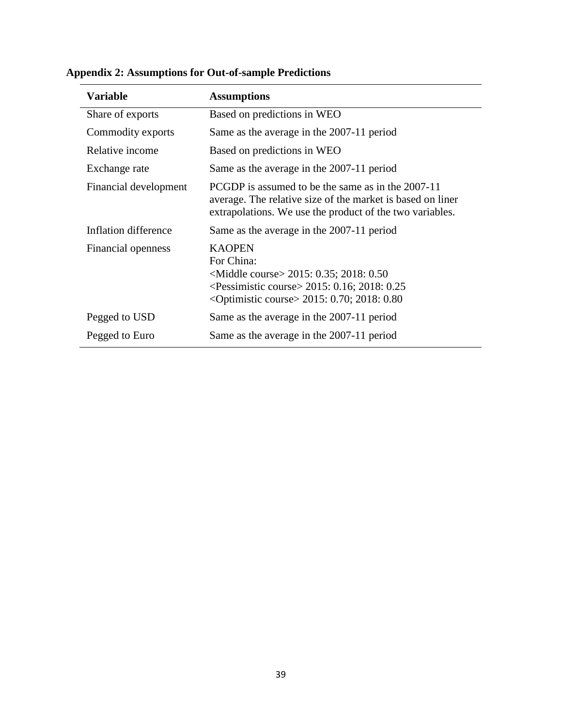| <b>Variable</b>       | <b>Assumptions</b>                                                                                                                                                                                                |
|-----------------------|-------------------------------------------------------------------------------------------------------------------------------------------------------------------------------------------------------------------|
| Share of exports      | Based on predictions in WEO                                                                                                                                                                                       |
| Commodity exports     | Same as the average in the 2007-11 period                                                                                                                                                                         |
| Relative income       | Based on predictions in WEO                                                                                                                                                                                       |
| Exchange rate         | Same as the average in the 2007-11 period                                                                                                                                                                         |
| Financial development | PCGDP is assumed to be the same as in the 2007-11<br>average. The relative size of the market is based on liner<br>extrapolations. We use the product of the two variables.                                       |
| Inflation difference  | Same as the average in the 2007-11 period                                                                                                                                                                         |
| Financial openness    | <b>KAOPEN</b><br>For China:<br><middle course=""> 2015: 0.35; 2018: 0.50<br/><pessimistic course=""> 2015: 0.16; 2018: 0.25<br/><dptimistic course=""> 2015: 0.70; 2018: 0.80</dptimistic></pessimistic></middle> |
| Pegged to USD         | Same as the average in the 2007-11 period                                                                                                                                                                         |
| Pegged to Euro        | Same as the average in the 2007-11 period                                                                                                                                                                         |

**Appendix 2: Assumptions for Out-of-sample Predictions**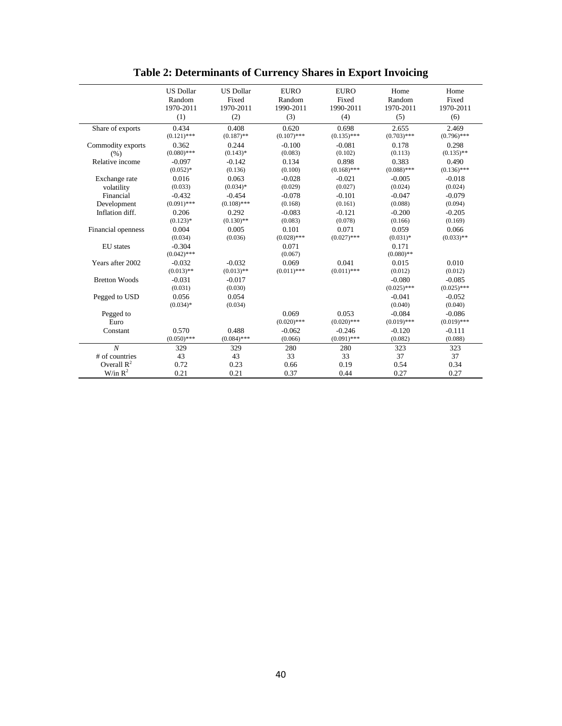|                      | <b>US Dollar</b><br>Random | <b>US Dollar</b><br>Fixed | <b>EURO</b><br>Random | <b>EURO</b><br>Fixed | Home<br>Random | Home<br>Fixed |
|----------------------|----------------------------|---------------------------|-----------------------|----------------------|----------------|---------------|
|                      | 1970-2011                  | 1970-2011                 | 1990-2011             | 1990-2011            | 1970-2011      | 1970-2011     |
|                      | (1)                        | (2)                       | (3)                   | (4)                  | (5)            | (6)           |
| Share of exports     | 0.434                      | 0.408                     | 0.620                 | 0.698                | 2.655          | 2.469         |
|                      | $(0.121)$ ***              | $(0.187)$ **              | $(0.107)$ ***         | $(0.135)$ ***        | $(0.703)$ ***  | $(0.796)$ *** |
| Commodity exports    | 0.362                      | 0.244                     | $-0.100$              | $-0.081$             | 0.178          | 0.298         |
| (% )                 | $(0.080)$ ***              | $(0.143)*$                | (0.083)               | (0.102)              | (0.113)        | $(0.135)$ **  |
| Relative income      | $-0.097$                   | $-0.142$                  | 0.134                 | 0.898                | 0.383          | 0.490         |
|                      | $(0.052)*$                 | (0.136)                   | (0.100)               | $(0.168)$ ***        | $(0.088)$ ***  | $(0.136)$ *** |
| Exchange rate        | 0.016                      | 0.063                     | $-0.028$              | $-0.021$             | $-0.005$       | $-0.018$      |
| volatility           | (0.033)                    | $(0.034)*$                | (0.029)               | (0.027)              | (0.024)        | (0.024)       |
| Financial            | $-0.432$                   | $-0.454$                  | $-0.078$              | $-0.101$             | $-0.047$       | $-0.079$      |
| Development          | $(0.091)$ ***              | $(0.108)$ ***             | (0.168)               | (0.161)              | (0.088)        | (0.094)       |
| Inflation diff.      | 0.206                      | 0.292                     | $-0.083$              | $-0.121$             | $-0.200$       | $-0.205$      |
|                      | $(0.123)$ *                | $(0.130)$ **              | (0.083)               | (0.078)              | (0.166)        | (0.169)       |
| Financial openness   | 0.004                      | 0.005                     | 0.101                 | 0.071                | 0.059          | 0.066         |
|                      | (0.034)                    | (0.036)                   | $(0.028)$ ***         | $(0.027)$ ***        | $(0.031)*$     | $(0.033)$ **  |
| <b>EU</b> states     | $-0.304$                   |                           | 0.071                 |                      | 0.171          |               |
|                      | $(0.042)$ ***              |                           | (0.067)               |                      | $(0.080)$ **   |               |
| Years after 2002     | $-0.032$                   | $-0.032$                  | 0.069                 | 0.041                | 0.015          | 0.010         |
|                      | $(0.013)$ **               | $(0.013)$ **              | $(0.011)$ ***         | $(0.011)$ ***        | (0.012)        | (0.012)       |
| <b>Bretton Woods</b> | $-0.031$                   | $-0.017$                  |                       |                      | $-0.080$       | $-0.085$      |
|                      | (0.031)                    | (0.030)                   |                       |                      | $(0.025)$ ***  | $(0.025)$ *** |
| Pegged to USD        | 0.056                      | 0.054                     |                       |                      | $-0.041$       | $-0.052$      |
|                      | $(0.034)*$                 | (0.034)                   |                       |                      | (0.040)        | (0.040)       |
| Pegged to            |                            |                           | 0.069                 | 0.053                | $-0.084$       | $-0.086$      |
| Euro                 |                            |                           | $(0.020)$ ***         | $(0.020)$ ***        | $(0.019)$ ***  | $(0.019)$ *** |
| Constant             | 0.570                      | 0.488                     | $-0.062$              | $-0.246$             | $-0.120$       | $-0.111$      |
|                      | $(0.050)$ ***              | $(0.084)$ ***             | (0.066)               | $(0.091)$ ***        | (0.082)        | (0.088)       |
| $\boldsymbol{N}$     | 329                        | 329                       | 280                   | 280                  | 323            | 323           |
| # of countries       | 43                         | 43                        | 33                    | 33                   | 37             | 37            |
| Overall $R^2$        | 0.72                       | 0.23                      | 0.66                  | 0.19                 | 0.54           | 0.34          |
| W/in $R^2$           | 0.21                       | 0.21                      | 0.37                  | 0.44                 | 0.27           | 0.27          |

**Table 2: Determinants of Currency Shares in Export Invoicing**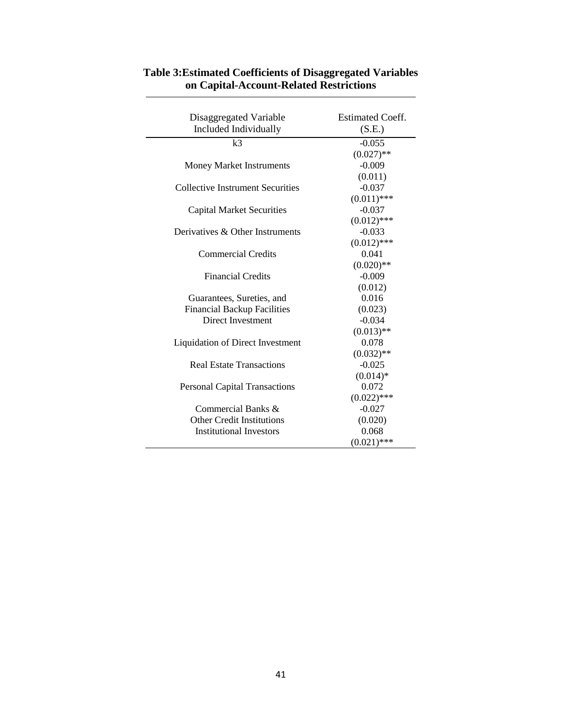| Disaggregated Variable                  | <b>Estimated Coeff.</b> |
|-----------------------------------------|-------------------------|
| Included Individually                   | (S.E.)                  |
| k <sub>3</sub>                          | $-0.055$                |
|                                         | $(0.027)$ **            |
| <b>Money Market Instruments</b>         | $-0.009$                |
|                                         | (0.011)                 |
| <b>Collective Instrument Securities</b> | $-0.037$                |
|                                         | $(0.011)$ ***           |
| <b>Capital Market Securities</b>        | $-0.037$                |
|                                         | $(0.012)$ ***           |
| Derivatives & Other Instruments         | $-0.033$                |
|                                         | $(0.012)$ ***           |
| <b>Commercial Credits</b>               | 0.041                   |
|                                         | $(0.020)$ **            |
| <b>Financial Credits</b>                | $-0.009$                |
|                                         | (0.012)                 |
| Guarantees, Sureties, and               | 0.016                   |
| <b>Financial Backup Facilities</b>      | (0.023)                 |
| <b>Direct Investment</b>                | $-0.034$                |
|                                         | $(0.013)$ **            |
| <b>Liquidation of Direct Investment</b> | 0.078                   |
|                                         | $(0.032)$ **            |
| <b>Real Estate Transactions</b>         | $-0.025$                |
|                                         | $(0.014)*$              |
| <b>Personal Capital Transactions</b>    | 0.072                   |
|                                         | $(0.022)$ ***           |
| Commercial Banks $\&$                   | $-0.027$                |
| <b>Other Credit Institutions</b>        | (0.020)                 |
| <b>Institutional Investors</b>          | 0.068                   |
|                                         | $(0.021)$ ***           |

# **Table 3:Estimated Coefficients of Disaggregated Variables on Capital-Account-Related Restrictions**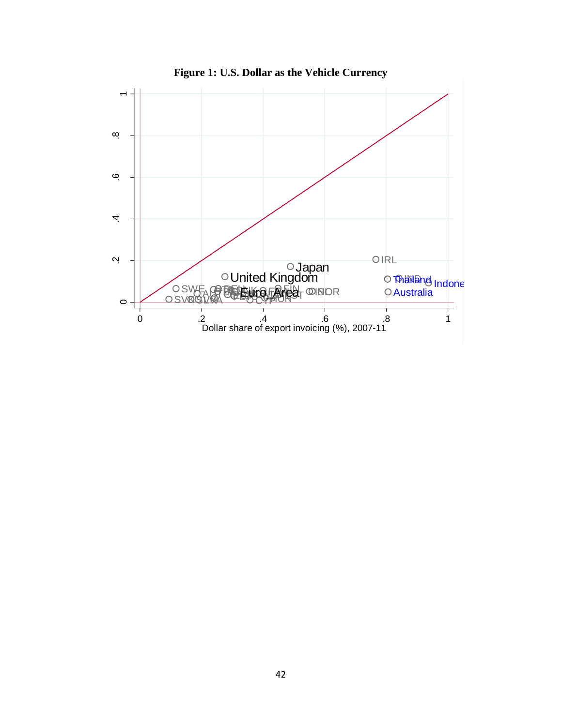

**Figure 1: U.S. Dollar as the Vehicle Currency**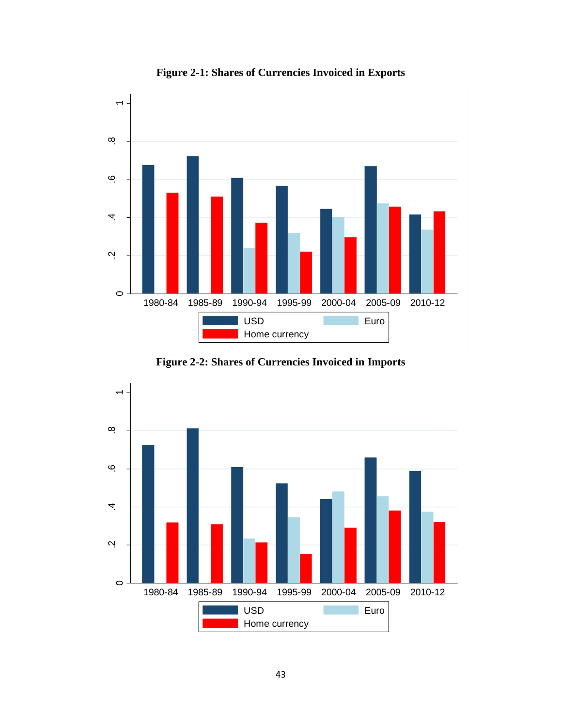

**Figure 2-1: Shares of Currencies Invoiced in Exports**

**Figure 2-2: Shares of Currencies Invoiced in Imports**

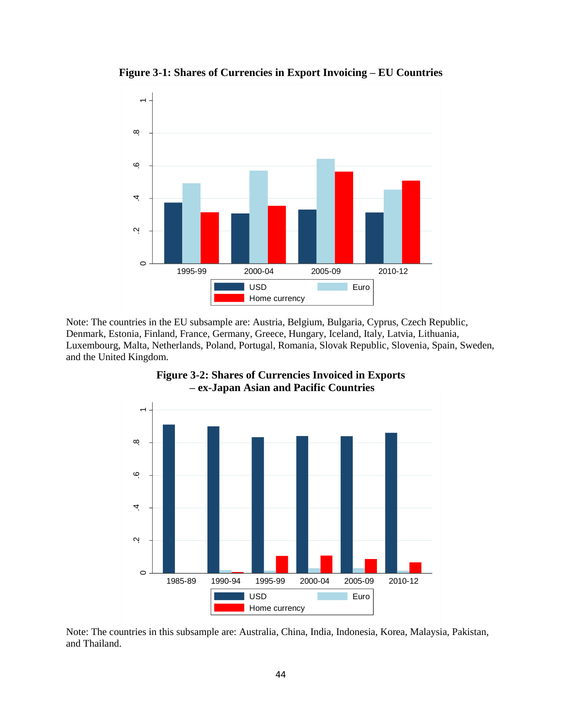

**Figure 3-1: Shares of Currencies in Export Invoicing – EU Countries** 

Note: The countries in the EU subsample are: Austria, Belgium, Bulgaria, Cyprus, Czech Republic, Denmark, Estonia, Finland, France, Germany, Greece, Hungary, Iceland, Italy, Latvia, Lithuania, Luxembourg, Malta, Netherlands, Poland, Portugal, Romania, Slovak Republic, Slovenia, Spain, Sweden, and the United Kingdom.



**Figure 3-2: Shares of Currencies Invoiced in Exports – ex-Japan Asian and Pacific Countries**

Note: The countries in this subsample are: Australia, China, India, Indonesia, Korea, Malaysia, Pakistan, and Thailand.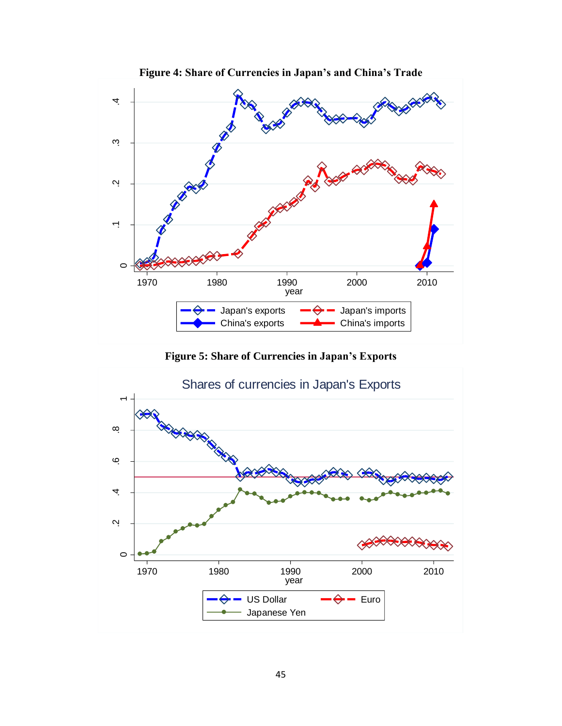

**Figure 5: Share of Currencies in Japan's Exports**

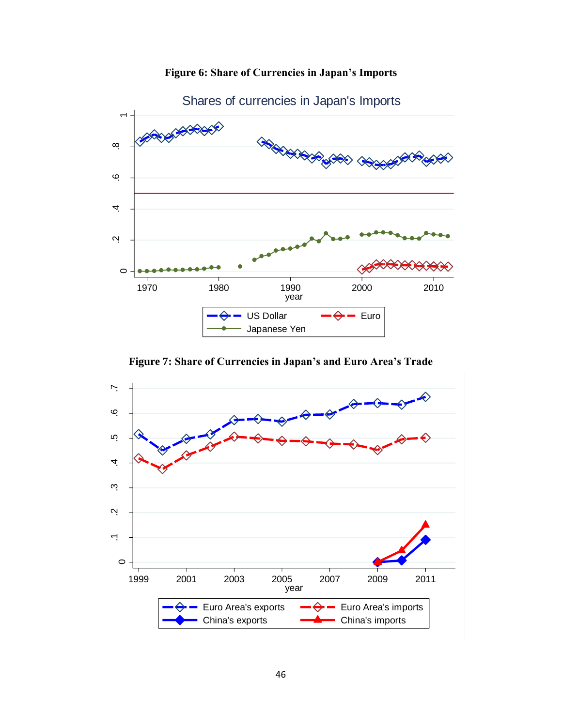

**Figure 6: Share of Currencies in Japan's Imports**

**Figure 7: Share of Currencies in Japan's and Euro Area's Trade**

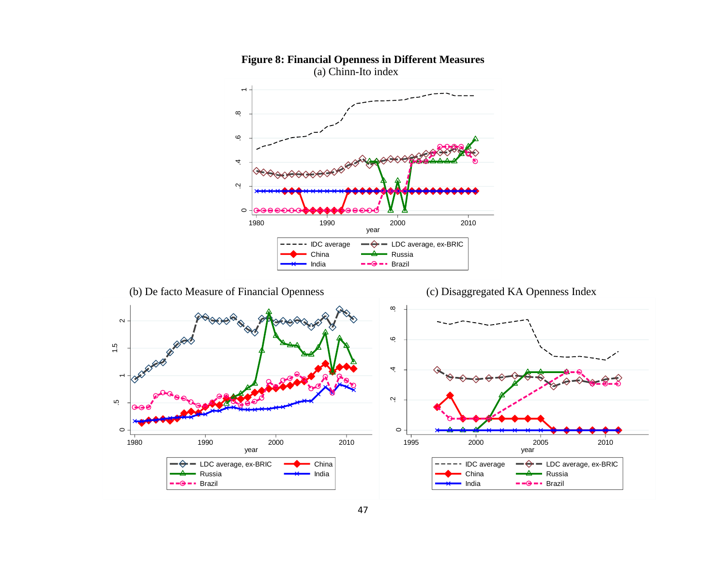

# **Figure 8: Financial Openness in Different Measures**

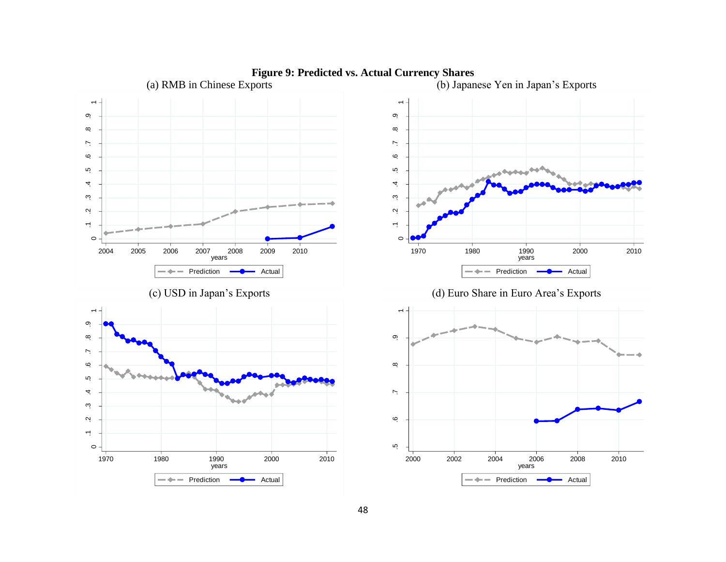